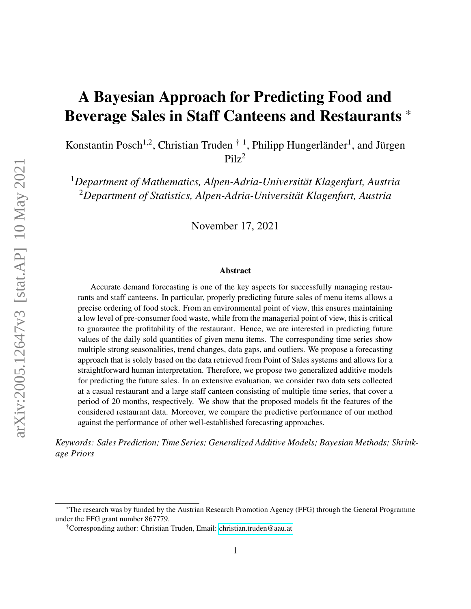# A Bayesian Approach for Predicting Food and Beverage Sales in Staff Canteens and Restaurants \*

Konstantin Posch<sup>1,2</sup>, Christian Truden<sup>†1</sup>, Philipp Hungerländer<sup>1</sup>, and Jürgen  $Pilz<sup>2</sup>$ 

<sup>1</sup>*Department of Mathematics, Alpen-Adria-Universität Klagenfurt, Austria* <sup>2</sup>*Department of Statistics, Alpen-Adria-Universität Klagenfurt, Austria*

November 17, 2021

#### Abstract

Accurate demand forecasting is one of the key aspects for successfully managing restaurants and staff canteens. In particular, properly predicting future sales of menu items allows a precise ordering of food stock. From an environmental point of view, this ensures maintaining a low level of pre-consumer food waste, while from the managerial point of view, this is critical to guarantee the profitability of the restaurant. Hence, we are interested in predicting future values of the daily sold quantities of given menu items. The corresponding time series show multiple strong seasonalities, trend changes, data gaps, and outliers. We propose a forecasting approach that is solely based on the data retrieved from Point of Sales systems and allows for a straightforward human interpretation. Therefore, we propose two generalized additive models for predicting the future sales. In an extensive evaluation, we consider two data sets collected at a casual restaurant and a large staff canteen consisting of multiple time series, that cover a period of 20 months, respectively. We show that the proposed models fit the features of the considered restaurant data. Moreover, we compare the predictive performance of our method against the performance of other well-established forecasting approaches.

*Keywords: Sales Prediction; Time Series; Generalized Additive Models; Bayesian Methods; Shrinkage Priors*

<sup>\*</sup>The research was by funded by the Austrian Research Promotion Agency (FFG) through the General Programme under the FFG grant number 867779.

<sup>†</sup>Corresponding author: Christian Truden, Email: [christian.truden@aau.at](mailto:christian.truden@aau.at)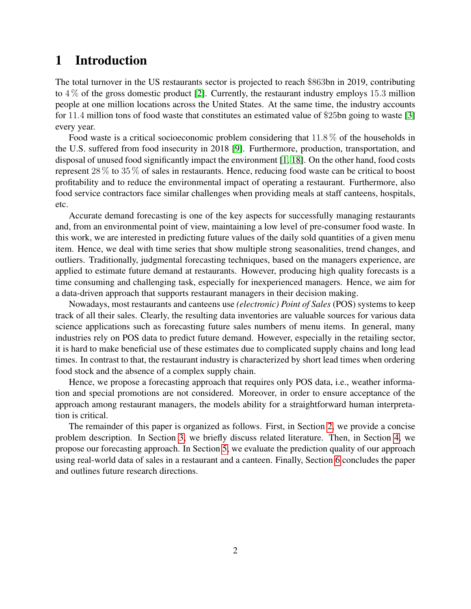# 1 Introduction

The total turnover in the US restaurants sector is projected to reach \$863bn in 2019, contributing to  $4\%$  of the gross domestic product [\[2\]](#page-32-0). Currently, the restaurant industry employs 15.3 million people at one million locations across the United States. At the same time, the industry accounts for 11.4 million tons of food waste that constitutes an estimated value of \$25bn going to waste [\[3\]](#page-32-1) every year.

Food waste is a critical socioeconomic problem considering that  $11.8\%$  of the households in the U.S. suffered from food insecurity in 2018 [\[9\]](#page-33-0). Furthermore, production, transportation, and disposal of unused food significantly impact the environment [\[1,](#page-32-2) [18\]](#page-33-1). On the other hand, food costs represent 28 % to 35 % of sales in restaurants. Hence, reducing food waste can be critical to boost profitability and to reduce the environmental impact of operating a restaurant. Furthermore, also food service contractors face similar challenges when providing meals at staff canteens, hospitals, etc.

Accurate demand forecasting is one of the key aspects for successfully managing restaurants and, from an environmental point of view, maintaining a low level of pre-consumer food waste. In this work, we are interested in predicting future values of the daily sold quantities of a given menu item. Hence, we deal with time series that show multiple strong seasonalities, trend changes, and outliers. Traditionally, judgmental forecasting techniques, based on the managers experience, are applied to estimate future demand at restaurants. However, producing high quality forecasts is a time consuming and challenging task, especially for inexperienced managers. Hence, we aim for a data-driven approach that supports restaurant managers in their decision making.

Nowadays, most restaurants and canteens use *(electronic) Point of Sales* (POS) systems to keep track of all their sales. Clearly, the resulting data inventories are valuable sources for various data science applications such as forecasting future sales numbers of menu items. In general, many industries rely on POS data to predict future demand. However, especially in the retailing sector, it is hard to make beneficial use of these estimates due to complicated supply chains and long lead times. In contrast to that, the restaurant industry is characterized by short lead times when ordering food stock and the absence of a complex supply chain.

Hence, we propose a forecasting approach that requires only POS data, i.e., weather information and special promotions are not considered. Moreover, in order to ensure acceptance of the approach among restaurant managers, the models ability for a straightforward human interpretation is critical.

The remainder of this paper is organized as follows. First, in Section [2,](#page-2-0) we provide a concise problem description. In Section [3,](#page-3-0) we briefly discuss related literature. Then, in Section [4,](#page-4-0) we propose our forecasting approach. In Section [5,](#page-13-0) we evaluate the prediction quality of our approach using real-world data of sales in a restaurant and a canteen. Finally, Section [6](#page-32-3) concludes the paper and outlines future research directions.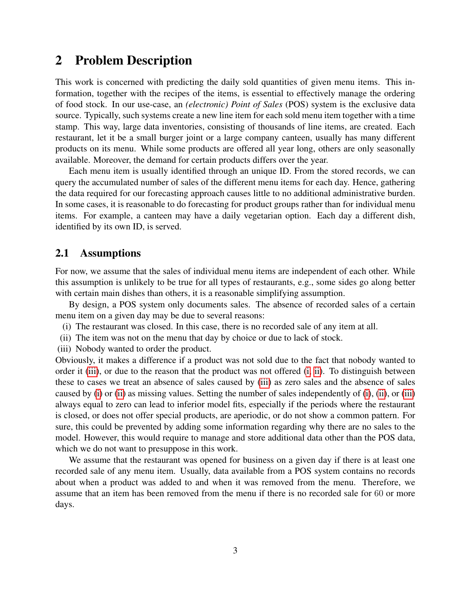# <span id="page-2-0"></span>2 Problem Description

This work is concerned with predicting the daily sold quantities of given menu items. This information, together with the recipes of the items, is essential to effectively manage the ordering of food stock. In our use-case, an *(electronic) Point of Sales* (POS) system is the exclusive data source. Typically, such systems create a new line item for each sold menu item together with a time stamp. This way, large data inventories, consisting of thousands of line items, are created. Each restaurant, let it be a small burger joint or a large company canteen, usually has many different products on its menu. While some products are offered all year long, others are only seasonally available. Moreover, the demand for certain products differs over the year.

Each menu item is usually identified through an unique ID. From the stored records, we can query the accumulated number of sales of the different menu items for each day. Hence, gathering the data required for our forecasting approach causes little to no additional administrative burden. In some cases, it is reasonable to do forecasting for product groups rather than for individual menu items. For example, a canteen may have a daily vegetarian option. Each day a different dish, identified by its own ID, is served.

# <span id="page-2-4"></span>2.1 Assumptions

For now, we assume that the sales of individual menu items are independent of each other. While this assumption is unlikely to be true for all types of restaurants, e.g., some sides go along better with certain main dishes than others, it is a reasonable simplifying assumption.

By design, a POS system only documents sales. The absence of recorded sales of a certain menu item on a given day may be due to several reasons:

- <span id="page-2-2"></span>(i) The restaurant was closed. In this case, there is no recorded sale of any item at all.
- <span id="page-2-3"></span>(ii) The item was not on the menu that day by choice or due to lack of stock.
- <span id="page-2-1"></span>(iii) Nobody wanted to order the product.

Obviously, it makes a difference if a product was not sold due to the fact that nobody wanted to order it [\(iii\)](#page-2-1), or due to the reason that the product was not offered [\(i,](#page-2-2) [ii\)](#page-2-3). To distinguish between these to cases we treat an absence of sales caused by [\(iii\)](#page-2-1) as zero sales and the absence of sales caused by [\(i\)](#page-2-2) or [\(ii\)](#page-2-3) as missing values. Setting the number of sales independently of [\(i\)](#page-2-2), [\(ii\)](#page-2-3), or [\(iii\)](#page-2-1) always equal to zero can lead to inferior model fits, especially if the periods where the restaurant is closed, or does not offer special products, are aperiodic, or do not show a common pattern. For sure, this could be prevented by adding some information regarding why there are no sales to the model. However, this would require to manage and store additional data other than the POS data, which we do not want to presuppose in this work.

We assume that the restaurant was opened for business on a given day if there is at least one recorded sale of any menu item. Usually, data available from a POS system contains no records about when a product was added to and when it was removed from the menu. Therefore, we assume that an item has been removed from the menu if there is no recorded sale for 60 or more days.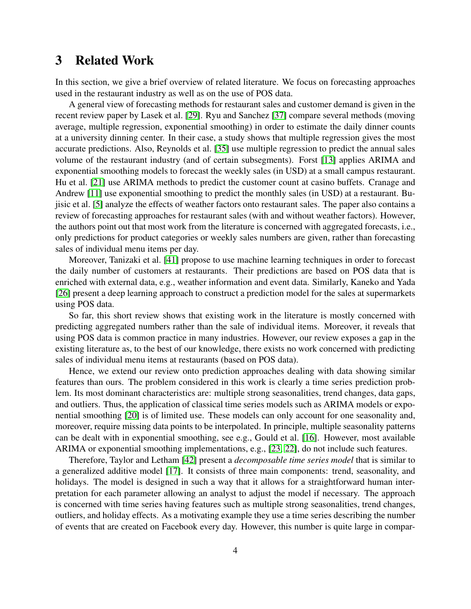# <span id="page-3-0"></span>3 Related Work

In this section, we give a brief overview of related literature. We focus on forecasting approaches used in the restaurant industry as well as on the use of POS data.

A general view of forecasting methods for restaurant sales and customer demand is given in the recent review paper by Lasek et al. [\[29\]](#page-34-0). Ryu and Sanchez [\[37\]](#page-35-0) compare several methods (moving average, multiple regression, exponential smoothing) in order to estimate the daily dinner counts at a university dinning center. In their case, a study shows that multiple regression gives the most accurate predictions. Also, Reynolds et al. [\[35\]](#page-35-1) use multiple regression to predict the annual sales volume of the restaurant industry (and of certain subsegments). Forst [\[13\]](#page-33-2) applies ARIMA and exponential smoothing models to forecast the weekly sales (in USD) at a small campus restaurant. Hu et al. [\[21\]](#page-34-1) use ARIMA methods to predict the customer count at casino buffets. Cranage and Andrew [\[11\]](#page-33-3) use exponential smoothing to predict the monthly sales (in USD) at a restaurant. Bujisic et al. [\[5\]](#page-32-4) analyze the effects of weather factors onto restaurant sales. The paper also contains a review of forecasting approaches for restaurant sales (with and without weather factors). However, the authors point out that most work from the literature is concerned with aggregated forecasts, i.e., only predictions for product categories or weekly sales numbers are given, rather than forecasting sales of individual menu items per day.

Moreover, Tanizaki et al. [\[41\]](#page-35-2) propose to use machine learning techniques in order to forecast the daily number of customers at restaurants. Their predictions are based on POS data that is enriched with external data, e.g., weather information and event data. Similarly, Kaneko and Yada [\[26\]](#page-34-2) present a deep learning approach to construct a prediction model for the sales at supermarkets using POS data.

So far, this short review shows that existing work in the literature is mostly concerned with predicting aggregated numbers rather than the sale of individual items. Moreover, it reveals that using POS data is common practice in many industries. However, our review exposes a gap in the existing literature as, to the best of our knowledge, there exists no work concerned with predicting sales of individual menu items at restaurants (based on POS data).

Hence, we extend our review onto prediction approaches dealing with data showing similar features than ours. The problem considered in this work is clearly a time series prediction problem. Its most dominant characteristics are: multiple strong seasonalities, trend changes, data gaps, and outliers. Thus, the application of classical time series models such as ARIMA models or exponential smoothing [\[20\]](#page-34-3) is of limited use. These models can only account for one seasonality and, moreover, require missing data points to be interpolated. In principle, multiple seasonality patterns can be dealt with in exponential smoothing, see e.g., Gould et al. [\[16\]](#page-33-4). However, most available ARIMA or exponential smoothing implementations, e.g., [\[23,](#page-34-4) [22\]](#page-34-5), do not include such features.

Therefore, Taylor and Letham [\[42\]](#page-36-0) present a *decomposable time series model* that is similar to a generalized additive model [\[17\]](#page-33-5). It consists of three main components: trend, seasonality, and holidays. The model is designed in such a way that it allows for a straightforward human interpretation for each parameter allowing an analyst to adjust the model if necessary. The approach is concerned with time series having features such as multiple strong seasonalities, trend changes, outliers, and holiday effects. As a motivating example they use a time series describing the number of events that are created on Facebook every day. However, this number is quite large in compar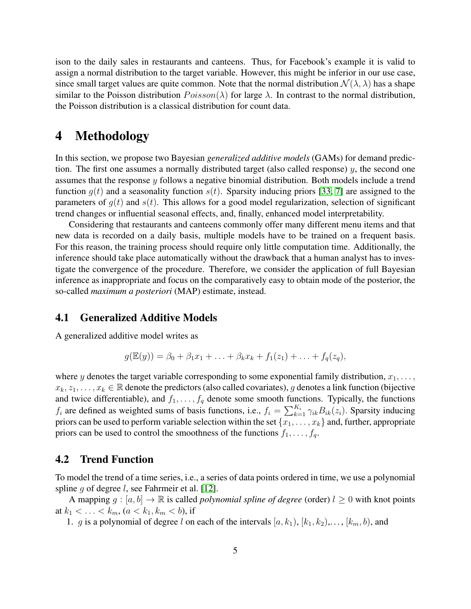ison to the daily sales in restaurants and canteens. Thus, for Facebook's example it is valid to assign a normal distribution to the target variable. However, this might be inferior in our use case, since small target values are quite common. Note that the normal distribution  $\mathcal{N}(\lambda, \lambda)$  has a shape similar to the Poisson distribution  $Poisson(\lambda)$  for large  $\lambda$ . In contrast to the normal distribution, the Poisson distribution is a classical distribution for count data.

# <span id="page-4-0"></span>4 Methodology

In this section, we propose two Bayesian *generalized additive models* (GAMs) for demand prediction. The first one assumes a normally distributed target (also called response)  $y$ , the second one assumes that the response y follows a negative binomial distribution. Both models include a trend function  $q(t)$  and a seasonality function  $s(t)$ . Sparsity inducing priors [\[33,](#page-35-3) [7\]](#page-33-6) are assigned to the parameters of  $g(t)$  and  $s(t)$ . This allows for a good model regularization, selection of significant trend changes or influential seasonal effects, and, finally, enhanced model interpretability.

Considering that restaurants and canteens commonly offer many different menu items and that new data is recorded on a daily basis, multiple models have to be trained on a frequent basis. For this reason, the training process should require only little computation time. Additionally, the inference should take place automatically without the drawback that a human analyst has to investigate the convergence of the procedure. Therefore, we consider the application of full Bayesian inference as inappropriate and focus on the comparatively easy to obtain mode of the posterior, the so-called *maximum a posteriori* (MAP) estimate, instead.

# 4.1 Generalized Additive Models

A generalized additive model writes as

$$
g(\mathbb{E}(y)) = \beta_0 + \beta_1 x_1 + \ldots + \beta_k x_k + f_1(z_1) + \ldots + f_q(z_q),
$$

where y denotes the target variable corresponding to some exponential family distribution,  $x_1, \ldots$ ,  $x_k, z_1, \ldots, x_k \in \mathbb{R}$  denote the predictors (also called covariates), g denotes a link function (bijective and twice differentiable), and  $f_1, \ldots, f_q$  denote some smooth functions. Typically, the functions  $f_i$  are defined as weighted sums of basis functions, i.e.,  $f_i = \sum_{k=1}^{K_i} \gamma_{ik} B_{ik}(z_i)$ . Sparsity inducing priors can be used to perform variable selection within the set  $\{x_1, \ldots, x_k\}$  and, further, appropriate priors can be used to control the smoothness of the functions  $f_1, \ldots, f_q$ .

### <span id="page-4-1"></span>4.2 Trend Function

To model the trend of a time series, i.e., a series of data points ordered in time, we use a polynomial spline g of degree *l*, see Fahrmeir et al. [\[12\]](#page-33-7).

A mapping  $q : [a, b] \to \mathbb{R}$  is called *polynomial spline of degree* (order)  $l > 0$  with knot points at  $k_1 < \ldots < k_m$ ,  $(a < k_1, k_m < b)$ , if

1. g is a polynomial of degree l on each of the intervals  $[a, k_1), [k_1, k_2), \ldots, [k_m, b)$ , and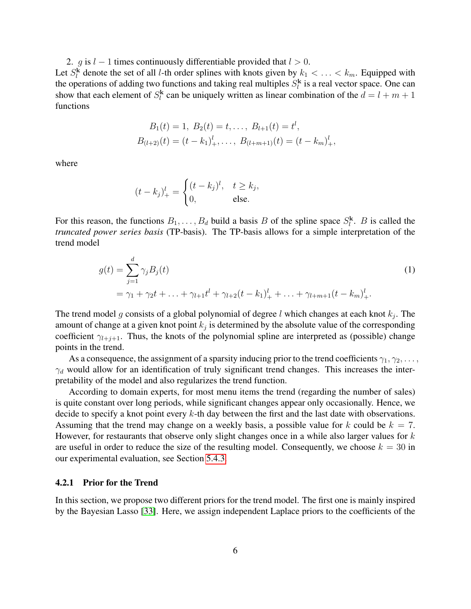2. g is  $l - 1$  times continuously differentiable provided that  $l > 0$ .

Let  $S_l^k$  denote the set of all *l*-th order splines with knots given by  $k_1 < \ldots < k_m$ . Equipped with the operations of adding two functions and taking real multiples  $S_l^k$  is a real vector space. One can show that each element of  $S_l^k$  can be uniquely written as linear combination of the  $d = l + m + 1$ functions

$$
B_1(t) = 1, B_2(t) = t, \dots, B_{l+1}(t) = t^l,
$$
  
\n
$$
B_{(l+2)}(t) = (t - k_1)^l_+, \dots, B_{(l+m+1)}(t) = (t - k_m)^l_+,
$$

where

$$
(t-k_j)_+^l = \begin{cases} (t-k_j)^l, & t \ge k_j, \\ 0, & \text{else.} \end{cases}
$$

For this reason, the functions  $B_1, \ldots, B_d$  build a basis B of the spline space  $S_l^k$ . B is called the *truncated power series basis* (TP-basis). The TP-basis allows for a simple interpretation of the trend model

$$
g(t) = \sum_{j=1}^{d} \gamma_j B_j(t)
$$
  
=  $\gamma_1 + \gamma_2 t + \dots + \gamma_{l+1} t^l + \gamma_{l+2} (t - k_1)^l_+ + \dots + \gamma_{l+m+1} (t - k_m)^l_+.$  (1)

The trend model g consists of a global polynomial of degree l which changes at each knot  $k_j$ . The amount of change at a given knot point  $k_j$  is determined by the absolute value of the corresponding coefficient  $\gamma_{l+j+1}$ . Thus, the knots of the polynomial spline are interpreted as (possible) change points in the trend.

As a consequence, the assignment of a sparsity inducing prior to the trend coefficients  $\gamma_1, \gamma_2, \ldots,$  $\gamma_d$  would allow for an identification of truly significant trend changes. This increases the interpretability of the model and also regularizes the trend function.

According to domain experts, for most menu items the trend (regarding the number of sales) is quite constant over long periods, while significant changes appear only occasionally. Hence, we decide to specify a knot point every  $k$ -th day between the first and the last date with observations. Assuming that the trend may change on a weekly basis, a possible value for k could be  $k = 7$ . However, for restaurants that observe only slight changes once in a while also larger values for  $k$ are useful in order to reduce the size of the resulting model. Consequently, we choose  $k = 30$  in our experimental evaluation, see Section [5.4.3.](#page-18-0)

#### <span id="page-5-0"></span>4.2.1 Prior for the Trend

In this section, we propose two different priors for the trend model. The first one is mainly inspired by the Bayesian Lasso [\[33\]](#page-35-3). Here, we assign independent Laplace priors to the coefficients of the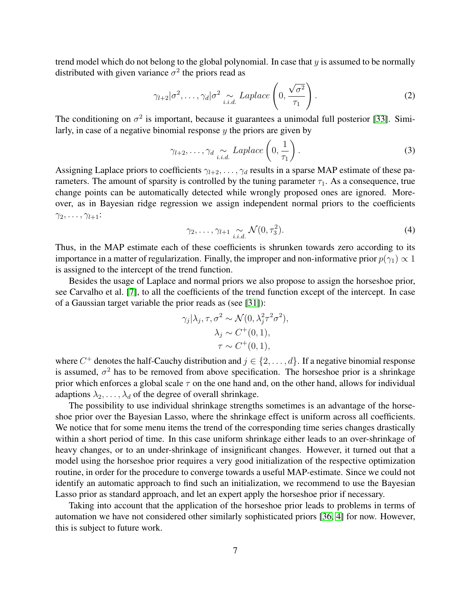trend model which do not belong to the global polynomial. In case that  $y$  is assumed to be normally distributed with given variance  $\sigma^2$  the priors read as

$$
\gamma_{l+2}|\sigma^2,\ldots,\gamma_d|\sigma^2 \underset{i.i.d.}{\sim} Laplace\left(0,\frac{\sqrt{\sigma^2}}{\tau_1}\right).
$$
 (2)

The conditioning on  $\sigma^2$  is important, because it guarantees a unimodal full posterior [\[33\]](#page-35-3). Similarly, in case of a negative binomial response  $y$  the priors are given by

<span id="page-6-0"></span>
$$
\gamma_{l+2}, \ldots, \gamma_d \underset{i.i.d.}{\sim} Laplace\left(0, \frac{1}{\tau_1}\right). \tag{3}
$$

Assigning Laplace priors to coefficients  $\gamma_{l+2}, \ldots, \gamma_d$  results in a sparse MAP estimate of these parameters. The amount of sparsity is controlled by the tuning parameter  $\tau_1$ . As a consequence, true change points can be automatically detected while wrongly proposed ones are ignored. Moreover, as in Bayesian ridge regression we assign independent normal priors to the coefficients  $\gamma_2, \ldots, \gamma_{l+1}$ :

<span id="page-6-2"></span><span id="page-6-1"></span>
$$
\gamma_2, \ldots, \gamma_{l+1} \underset{i.i.d.}{\sim} \mathcal{N}(0, \tau_3^2). \tag{4}
$$

Thus, in the MAP estimate each of these coefficients is shrunken towards zero according to its importance in a matter of regularization. Finally, the improper and non-informative prior  $p(\gamma_1) \propto 1$ is assigned to the intercept of the trend function.

Besides the usage of Laplace and normal priors we also propose to assign the horseshoe prior, see Carvalho et al. [\[7\]](#page-33-6), to all the coefficients of the trend function except of the intercept. In case of a Gaussian target variable the prior reads as (see [\[31\]](#page-35-4)):

$$
\gamma_j | \lambda_j, \tau, \sigma^2 \sim \mathcal{N}(0, \lambda_j^2 \tau^2 \sigma^2),
$$
  

$$
\lambda_j \sim C^+(0, 1),
$$
  

$$
\tau \sim C^+(0, 1),
$$

where  $C^+$  denotes the half-Cauchy distribution and  $j \in \{2, \ldots, d\}$ . If a negative binomial response is assumed,  $\sigma^2$  has to be removed from above specification. The horseshoe prior is a shrinkage prior which enforces a global scale  $\tau$  on the one hand and, on the other hand, allows for individual adaptions  $\lambda_2, \ldots, \lambda_d$  of the degree of overall shrinkage.

The possibility to use individual shrinkage strengths sometimes is an advantage of the horseshoe prior over the Bayesian Lasso, where the shrinkage effect is uniform across all coefficients. We notice that for some menu items the trend of the corresponding time series changes drastically within a short period of time. In this case uniform shrinkage either leads to an over-shrinkage of heavy changes, or to an under-shrinkage of insignificant changes. However, it turned out that a model using the horseshoe prior requires a very good initialization of the respective optimization routine, in order for the procedure to converge towards a useful MAP-estimate. Since we could not identify an automatic approach to find such an initialization, we recommend to use the Bayesian Lasso prior as standard approach, and let an expert apply the horseshoe prior if necessary.

Taking into account that the application of the horseshoe prior leads to problems in terms of automation we have not considered other similarly sophisticated priors [\[36,](#page-35-5) [4\]](#page-32-5) for now. However, this is subject to future work.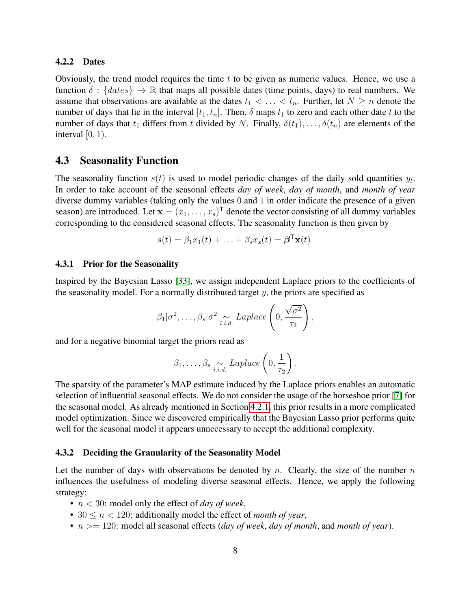#### 4.2.2 Dates

Obviously, the trend model requires the time  $t$  to be given as numeric values. Hence, we use a function  $\delta$  : {*dates*}  $\rightarrow \mathbb{R}$  that maps all possible dates (time points, days) to real numbers. We assume that observations are available at the dates  $t_1 < \ldots < t_n$ . Further, let  $N \ge n$  denote the number of days that lie in the interval  $[t_1, t_n]$ . Then,  $\delta$  maps  $t_1$  to zero and each other date t to the number of days that  $t_1$  differs from t divided by N. Finally,  $\delta(t_1), \ldots, \delta(t_n)$  are elements of the interval  $[0, 1)$ .

## <span id="page-7-0"></span>4.3 Seasonality Function

The seasonality function  $s(t)$  is used to model periodic changes of the daily sold quantities  $y_t$ . In order to take account of the seasonal effects *day of week*, *day of month*, and *month of year* diverse dummy variables (taking only the values 0 and 1 in order indicate the presence of a given season) are introduced. Let  $\mathbf{x} = (x_1, \dots, x_s)^\mathsf{T}$  denote the vector consisting of all dummy variables corresponding to the considered seasonal effects. The seasonality function is then given by

$$
s(t) = \beta_1 x_1(t) + \ldots + \beta_s x_s(t) = \boldsymbol{\beta}^\mathsf{T} \mathbf{x}(t).
$$

### <span id="page-7-1"></span>4.3.1 Prior for the Seasonality

Inspired by the Bayesian Lasso [\[33\]](#page-35-3), we assign independent Laplace priors to the coefficients of the seasonality model. For a normally distributed target  $y$ , the priors are specified as

$$
\beta_1|\sigma^2,\ldots,\beta_s|\sigma^2 \underset{i.i.d.}{\sim} Laplace\left(0,\frac{\sqrt{\sigma^2}}{\tau_2}\right),
$$

and for a negative binomial target the priors read as

$$
\beta_1, \ldots, \beta_s \underset{i.i.d.}{\sim} Laplace\left(0, \frac{1}{\tau_2}\right).
$$

The sparsity of the parameter's MAP estimate induced by the Laplace priors enables an automatic selection of influential seasonal effects. We do not consider the usage of the horseshoe prior [\[7\]](#page-33-6) for the seasonal model. As already mentioned in Section [4.2.1,](#page-5-0) this prior results in a more complicated model optimization. Since we discovered empirically that the Bayesian Lasso prior performs quite well for the seasonal model it appears unnecessary to accept the additional complexity.

#### 4.3.2 Deciding the Granularity of the Seasonality Model

Let the number of days with observations be denoted by n. Clearly, the size of the number  $n$ influences the usefulness of modeling diverse seasonal effects. Hence, we apply the following strategy:

- n < 30: model only the effect of *day of week*,
- $30 \le n \le 120$ : additionally model the effect of *month of year*,
- n >= 120: model all seasonal effects (*day of week*, *day of month*, and *month of year*).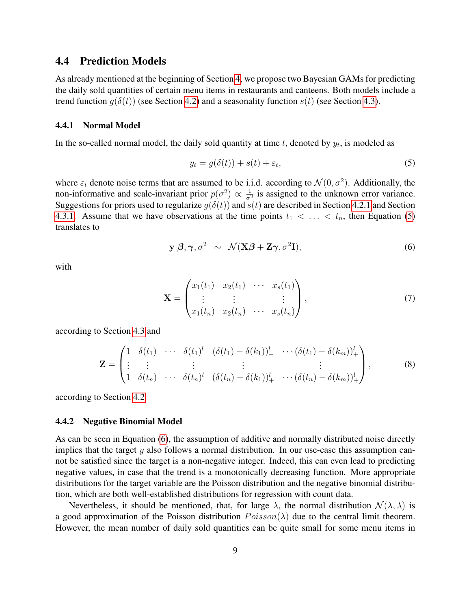# 4.4 Prediction Models

As already mentioned at the beginning of Section [4,](#page-4-0) we propose two Bayesian GAMs for predicting the daily sold quantities of certain menu items in restaurants and canteens. Both models include a trend function  $q(\delta(t))$  (see Section [4.2\)](#page-4-1) and a seasonality function  $s(t)$  (see Section [4.3\)](#page-7-0).

#### 4.4.1 Normal Model

In the so-called normal model, the daily sold quantity at time  $t$ , denoted by  $y_t$ , is modeled as

<span id="page-8-1"></span><span id="page-8-0"></span>
$$
y_t = g(\delta(t)) + s(t) + \varepsilon_t,\tag{5}
$$

where  $\varepsilon_t$  denote noise terms that are assumed to be i.i.d. according to  $\mathcal{N}(0, \sigma^2)$ . Additionally, the non-informative and scale-invariant prior  $p(\sigma^2) \propto \frac{1}{\sigma^2}$  $\frac{1}{\sigma^2}$  is assigned to the unknown error variance. Suggestions for priors used to regularize  $g(\delta(t))$  and  $s(t)$  are described in Section [4.2.1](#page-5-0) and Section [4.3.1.](#page-7-1) Assume that we have observations at the time points  $t_1 < \ldots < t_n$ , then Equation [\(5\)](#page-8-0) translates to

<span id="page-8-2"></span>
$$
\mathbf{y}|\boldsymbol{\beta},\boldsymbol{\gamma},\sigma^2 \sim \mathcal{N}(\mathbf{X}\boldsymbol{\beta}+\mathbf{Z}\boldsymbol{\gamma},\sigma^2\mathbf{I}),\tag{6}
$$

with

<span id="page-8-3"></span>
$$
\mathbf{X} = \begin{pmatrix} x_1(t_1) & x_2(t_1) & \cdots & x_s(t_1) \\ \vdots & \vdots & & \vdots \\ x_1(t_n) & x_2(t_n) & \cdots & x_s(t_n) \end{pmatrix}, \tag{7}
$$

according to Section [4.3](#page-7-0) and

$$
\mathbf{Z} = \begin{pmatrix} 1 & \delta(t_1) & \cdots & \delta(t_1)^l & (\delta(t_1) - \delta(k_1))_{+}^l & \cdots & (\delta(t_1) - \delta(k_m))_{+}^l \\ \vdots & \vdots & & \vdots & & \vdots \\ 1 & \delta(t_n) & \cdots & \delta(t_n)^l & (\delta(t_n) - \delta(k_1))_{+}^l & \cdots & (\delta(t_n) - \delta(k_m))_{+}^l \end{pmatrix},
$$
(8)

according to Section [4.2.](#page-4-1)

#### <span id="page-8-4"></span>4.4.2 Negative Binomial Model

As can be seen in Equation [\(6\)](#page-8-1), the assumption of additive and normally distributed noise directly implies that the target  $y$  also follows a normal distribution. In our use-case this assumption cannot be satisfied since the target is a non-negative integer. Indeed, this can even lead to predicting negative values, in case that the trend is a monotonically decreasing function. More appropriate distributions for the target variable are the Poisson distribution and the negative binomial distribution, which are both well-established distributions for regression with count data.

Nevertheless, it should be mentioned, that, for large  $\lambda$ , the normal distribution  $\mathcal{N}(\lambda, \lambda)$  is a good approximation of the Poisson distribution  $Poisson(\lambda)$  due to the central limit theorem. However, the mean number of daily sold quantities can be quite small for some menu items in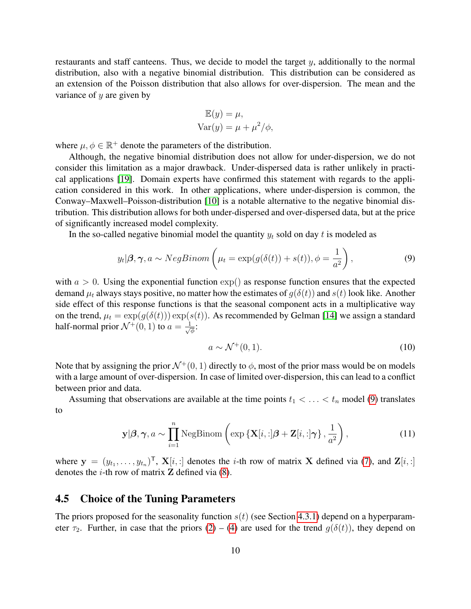restaurants and staff canteens. Thus, we decide to model the target y, additionally to the normal distribution, also with a negative binomial distribution. This distribution can be considered as an extension of the Poisson distribution that also allows for over-dispersion. The mean and the variance of  $y$  are given by

$$
\mathbb{E}(y) = \mu,
$$
  
 
$$
\text{Var}(y) = \mu + \mu^2/\phi,
$$

where  $\mu, \phi \in \mathbb{R}^+$  denote the parameters of the distribution.

Although, the negative binomial distribution does not allow for under-dispersion, we do not consider this limitation as a major drawback. Under-dispersed data is rather unlikely in practical applications [\[19\]](#page-34-6). Domain experts have confirmed this statement with regards to the application considered in this work. In other applications, where under-dispersion is common, the Conway–Maxwell–Poisson-distribution [\[10\]](#page-33-8) is a notable alternative to the negative binomial distribution. This distribution allows for both under-dispersed and over-dispersed data, but at the price of significantly increased model complexity.

In the so-called negative binomial model the quantity  $y_t$  sold on day t is modeled as

$$
y_t | \beta, \gamma, a \sim NegBinom \left( \mu_t = \exp(g(\delta(t)) + s(t)), \phi = \frac{1}{a^2} \right),
$$
 (9)

with  $a > 0$ . Using the exponential function exp() as response function ensures that the expected demand  $\mu_t$  always stays positive, no matter how the estimates of  $q(\delta(t))$  and  $s(t)$  look like. Another side effect of this response functions is that the seasonal component acts in a multiplicative way on the trend,  $\mu_t = \exp(g(\delta(t))) \exp(s(t))$ . As recommended by Gelman [\[14\]](#page-33-9) we assign a standard half-normal prior  $\mathcal{N}^+(0,1)$  to  $a=\frac{1}{\sqrt{2}}$ φ :

<span id="page-9-1"></span><span id="page-9-0"></span>
$$
a \sim \mathcal{N}^+(0,1). \tag{10}
$$

Note that by assigning the prior  $\mathcal{N}^+(0, 1)$  directly to  $\phi$ , most of the prior mass would be on models with a large amount of over-dispersion. In case of limited over-dispersion, this can lead to a conflict between prior and data.

Assuming that observations are available at the time points  $t_1 < \ldots < t_n$  model [\(9\)](#page-9-0) translates to

$$
\mathbf{y}|\boldsymbol{\beta}, \boldsymbol{\gamma}, a \sim \prod_{i=1}^{n} \text{NegBinom}\left(\exp\left\{\mathbf{X}[i, :] \boldsymbol{\beta} + \mathbf{Z}[i, :] \boldsymbol{\gamma}\right\}, \frac{1}{a^2}\right),\tag{11}
$$

where  $y = (y_{t_1}, \dots, y_{t_n})^{\mathsf{T}}$ ,  $\mathbf{X}[i, :]$  denotes the *i*-th row of matrix X defined via [\(7\)](#page-8-2), and  $\mathbf{Z}[i, :]$ denotes the *i*-th row of matrix  $\bf{Z}$  defined via [\(8\)](#page-8-3).

## 4.5 Choice of the Tuning Parameters

The priors proposed for the seasonality function  $s(t)$  (see Section [4.3.1\)](#page-7-1) depend on a hyperparameter  $\tau_2$ . Further, in case that the priors [\(2\)](#page-6-0) – [\(4\)](#page-6-1) are used for the trend  $g(\delta(t))$ , they depend on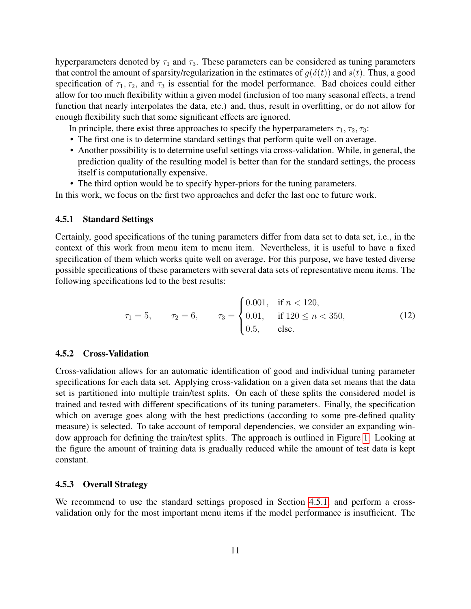hyperparameters denoted by  $\tau_1$  and  $\tau_3$ . These parameters can be considered as tuning parameters that control the amount of sparsity/regularization in the estimates of  $g(\delta(t))$  and  $s(t)$ . Thus, a good specification of  $\tau_1, \tau_2$ , and  $\tau_3$  is essential for the model performance. Bad choices could either allow for too much flexibility within a given model (inclusion of too many seasonal effects, a trend function that nearly interpolates the data, etc.) and, thus, result in overfitting, or do not allow for enough flexibility such that some significant effects are ignored.

In principle, there exist three approaches to specify the hyperparameters  $\tau_1, \tau_2, \tau_3$ :

- The first one is to determine standard settings that perform quite well on average.
- Another possibility is to determine useful settings via cross-validation. While, in general, the prediction quality of the resulting model is better than for the standard settings, the process itself is computationally expensive.
- The third option would be to specify hyper-priors for the tuning parameters.

In this work, we focus on the first two approaches and defer the last one to future work.

#### <span id="page-10-0"></span>4.5.1 Standard Settings

Certainly, good specifications of the tuning parameters differ from data set to data set, i.e., in the context of this work from menu item to menu item. Nevertheless, it is useful to have a fixed specification of them which works quite well on average. For this purpose, we have tested diverse possible specifications of these parameters with several data sets of representative menu items. The following specifications led to the best results:

<span id="page-10-1"></span>
$$
\tau_1 = 5, \qquad \tau_2 = 6, \qquad \tau_3 = \begin{cases} 0.001, & \text{if } n < 120, \\ 0.01, & \text{if } 120 \le n < 350, \\ 0.5, & \text{else.} \end{cases} \tag{12}
$$

#### 4.5.2 Cross-Validation

Cross-validation allows for an automatic identification of good and individual tuning parameter specifications for each data set. Applying cross-validation on a given data set means that the data set is partitioned into multiple train/test splits. On each of these splits the considered model is trained and tested with different specifications of its tuning parameters. Finally, the specification which on average goes along with the best predictions (according to some pre-defined quality measure) is selected. To take account of temporal dependencies, we consider an expanding window approach for defining the train/test splits. The approach is outlined in Figure [1.](#page-11-0) Looking at the figure the amount of training data is gradually reduced while the amount of test data is kept constant.

# <span id="page-10-2"></span>4.5.3 Overall Strategy

We recommend to use the standard settings proposed in Section [4.5.1,](#page-10-0) and perform a crossvalidation only for the most important menu items if the model performance is insufficient. The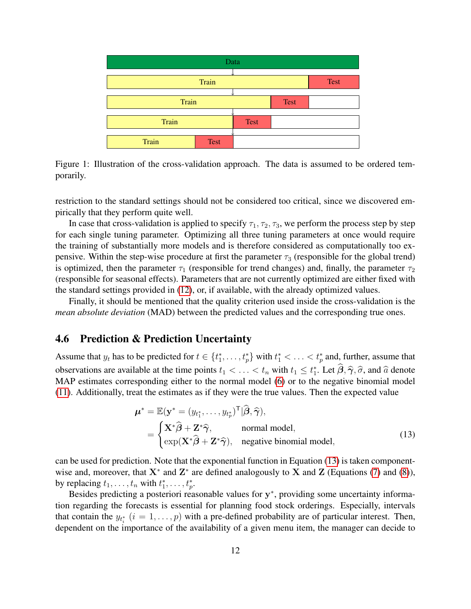<span id="page-11-0"></span>

Figure 1: Illustration of the cross-validation approach. The data is assumed to be ordered temporarily.

restriction to the standard settings should not be considered too critical, since we discovered empirically that they perform quite well.

In case that cross-validation is applied to specify  $\tau_1, \tau_2, \tau_3$ , we perform the process step by step for each single tuning parameter. Optimizing all three tuning parameters at once would require the training of substantially more models and is therefore considered as computationally too expensive. Within the step-wise procedure at first the parameter  $\tau_3$  (responsible for the global trend) is optimized, then the parameter  $\tau_1$  (responsible for trend changes) and, finally, the parameter  $\tau_2$ (responsible for seasonal effects). Parameters that are not currently optimized are either fixed with the standard settings provided in [\(12\)](#page-10-1), or, if available, with the already optimized values.

Finally, it should be mentioned that the quality criterion used inside the cross-validation is the *mean absolute deviation* (MAD) between the predicted values and the corresponding true ones.

# 4.6 Prediction & Prediction Uncertainty

Assume that  $y_t$  has to be predicted for  $t \in \{t_1^*, \ldots, t_p^*\}$  with  $t_1^* < \ldots < t_p^*$  and, further, assume that observations are available at the time points  $t_1 < \ldots < t_n$  with  $t_1 \leq t_1^*$ . Let  $\hat{\beta}, \hat{\gamma}, \hat{\sigma}$ , and  $\hat{a}$  denote  $MAD$  estimates corresponding either to the pormal model (6) or to the peoptive binomial model MAP estimates corresponding either to the normal model [\(6\)](#page-8-1) or to the negative binomial model [\(11\)](#page-9-1). Additionally, treat the estimates as if they were the true values. Then the expected value

<span id="page-11-1"></span>
$$
\boldsymbol{\mu}^* = \mathbb{E}(\mathbf{y}^* = (y_{t_1^*}, \dots, y_{t_p^*})^{\top} | \hat{\boldsymbol{\beta}}, \hat{\boldsymbol{\gamma}}),
$$
  
\n
$$
= \begin{cases} \mathbf{X}^* \hat{\boldsymbol{\beta}} + \mathbf{Z}^* \hat{\boldsymbol{\gamma}}, & \text{normal model,} \\ \exp(\mathbf{X}^* \hat{\boldsymbol{\beta}} + \mathbf{Z}^* \hat{\boldsymbol{\gamma}}), & \text{negative binomial model,} \end{cases}
$$
(13)

can be used for prediction. Note that the exponential function in Equation [\(13\)](#page-11-1) is taken componentwise and, moreover, that  $X^*$  and  $Z^*$  are defined analogously to X and Z (Equations [\(7\)](#page-8-2) and [\(8\)](#page-8-3)), by replacing  $t_1, \ldots, t_n$  with  $t_1^*, \ldots, t_p^*$ .

Besides predicting a posteriori reasonable values for  $y^*$ , providing some uncertainty information regarding the forecasts is essential for planning food stock orderings. Especially, intervals that contain the  $y_{t_i^*}$   $(i = 1, \ldots, p)$  with a pre-defined probability are of particular interest. Then, dependent on the importance of the availability of a given menu item, the manager can decide to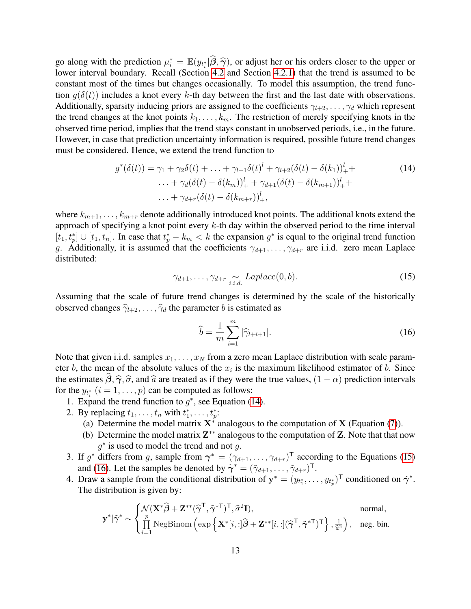go along with the prediction  $\mu_i^* = \mathbb{E}(y_{t_i^*}|\widehat{\beta}, \widehat{\gamma})$ , or adjust her or his orders closer to the upper or<br>lower interval boundary. Becall (Section 4.2 and Section 4.2.1) that the trend is assumed to be lower interval boundary. Recall (Section [4.2](#page-4-1) and Section [4.2.1\)](#page-5-0) that the trend is assumed to be constant most of the times but changes occasionally. To model this assumption, the trend function  $g(\delta(t))$  includes a knot every k-th day between the first and the last date with observations. Additionally, sparsity inducing priors are assigned to the coefficients  $\gamma_{l+2}, \ldots, \gamma_d$  which represent the trend changes at the knot points  $k_1, \ldots, k_m$ . The restriction of merely specifying knots in the observed time period, implies that the trend stays constant in unobserved periods, i.e., in the future. However, in case that prediction uncertainty information is required, possible future trend changes must be considered. Hence, we extend the trend function to

$$
g^*(\delta(t)) = \gamma_1 + \gamma_2 \delta(t) + \ldots + \gamma_{l+1} \delta(t)^l + \gamma_{l+2} (\delta(t) - \delta(k_1))_+^l + \ldots + \gamma_d (\delta(t) - \delta(k_m))_+^l + \gamma_{d+1} (\delta(t) - \delta(k_{m+1}))_+^l + \ldots + \gamma_{d+r} (\delta(t) - \delta(k_{m+r}))_+^l,
$$
\n(14)

where  $k_{m+1}, \ldots, k_{m+r}$  denote additionally introduced knot points. The additional knots extend the approach of specifying a knot point every  $k$ -th day within the observed period to the time interval  $[t_1, t_p^*] \cup [t_1, t_n]$ . In case that  $t_p^* - k_m < k$  the expansion  $g^*$  is equal to the original trend function g. Additionally, it is assumed that the coefficients  $\gamma_{d+1}, \ldots, \gamma_{d+r}$  are i.i.d. zero mean Laplace distributed:

<span id="page-12-0"></span>
$$
\gamma_{d+1}, \dots, \gamma_{d+r} \underset{i.i.d.}{\sim} Laplace(0, b). \tag{15}
$$

Assuming that the scale of future trend changes is determined by the scale of the historically observed changes  $\hat{\gamma}_{l+2}, \ldots, \hat{\gamma}_d$  the parameter b is estimated as

<span id="page-12-2"></span><span id="page-12-1"></span>
$$
\hat{b} = \frac{1}{m} \sum_{i=1}^{m} |\hat{\gamma}_{l+i+1}|.
$$
\n(16)

Note that given i.i.d. samples  $x_1, \ldots, x_N$  from a zero mean Laplace distribution with scale parameter b, the mean of the absolute values of the  $x_i$  is the maximum likelihood estimator of b. Since the estimates  $\beta$ ,  $\hat{\gamma}$ ,  $\hat{\sigma}$ , and  $\hat{a}$  are treated as if they were the true values,  $(1 - \alpha)$  prediction intervals for the  $y_{t_i^*}$   $(i = 1, \ldots, p)$  can be computed as follows:

- 1. Expand the trend function to  $g^*$ , see Equation [\(14\)](#page-12-0).
- 2. By replacing  $t_1, \ldots, t_n$  with  $t_1^*, \ldots, t_p^*$ :
	- (a) Determine the model matrix  $X^*$  analogous to the computation of X (Equation [\(7\)](#page-8-2)).
	- (b) Determine the model matrix  $Z^{**}$  analogous to the computation of Z. Note that that now  $g^*$  is used to model the trend and not g.
- 3. If  $g^*$  differs from g, sample from  $\gamma^* = (\gamma_{d+1}, \dots, \gamma_{d+r})^\top$  according to the Equations [\(15\)](#page-12-1) and [\(16\)](#page-12-2). Let the samples be denoted by  $\tilde{\gamma}^* = (\tilde{\gamma}_{d+1}, \dots, \tilde{\gamma}_{d+r})^{\mathsf{T}}$ .
- 4. Draw a sample from the conditional distribution of  $y^* = (y_{t_1^*}, \dots, y_{t_p^*})^T$  conditioned on  $\tilde{\gamma}^*$ . The distribution is given by:

$$
\mathbf{y}^*|\tilde{\boldsymbol{\gamma}}^* \sim \begin{cases} \mathcal{N}(\mathbf{X}^*\widehat{\boldsymbol{\beta}} + \mathbf{Z}^{**}(\widehat{\boldsymbol{\gamma}}^{\mathsf{T}}, \tilde{\boldsymbol{\gamma}}^{*\mathsf{T}})^{\mathsf{T}}, \widehat{\sigma}^2 \mathbf{I}), & \text{normal}, \\ \prod\limits_{i=1}^p \text{NegBinom}\left(\exp\left\{\mathbf{X}^*[i, :] \widehat{\boldsymbol{\beta}} + \mathbf{Z}^{**}[i, :] (\widehat{\boldsymbol{\gamma}}^{\mathsf{T}}, \tilde{\boldsymbol{\gamma}}^{*\mathsf{T}})^{\mathsf{T}}\right\}, \frac{1}{\widehat{a}^2}\right), & \text{neg. bin.} \end{cases}
$$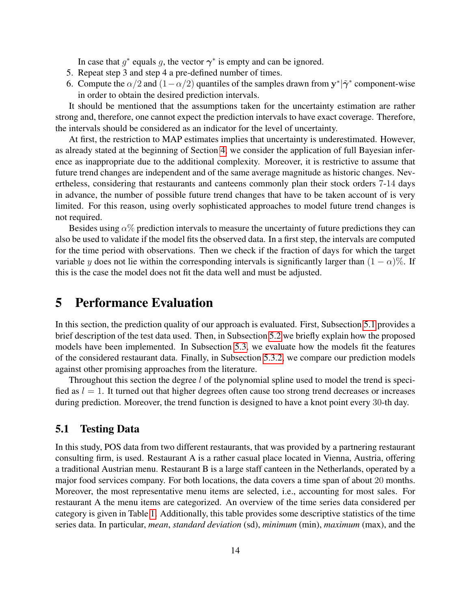In case that  $g^*$  equals g, the vector  $\gamma^*$  is empty and can be ignored.

- 5. Repeat step 3 and step 4 a pre-defined number of times.
- 6. Compute the  $\alpha/2$  and  $(1-\alpha/2)$  quantiles of the samples drawn from  $y^*|\tilde{\gamma}^*$  component-wise in order to obtain the desired prediction intervals.

It should be mentioned that the assumptions taken for the uncertainty estimation are rather strong and, therefore, one cannot expect the prediction intervals to have exact coverage. Therefore, the intervals should be considered as an indicator for the level of uncertainty.

At first, the restriction to MAP estimates implies that uncertainty is underestimated. However, as already stated at the beginning of Section [4,](#page-4-0) we consider the application of full Bayesian inference as inappropriate due to the additional complexity. Moreover, it is restrictive to assume that future trend changes are independent and of the same average magnitude as historic changes. Nevertheless, considering that restaurants and canteens commonly plan their stock orders 7-14 days in advance, the number of possible future trend changes that have to be taken account of is very limited. For this reason, using overly sophisticated approaches to model future trend changes is not required.

Besides using  $\alpha$ % prediction intervals to measure the uncertainty of future predictions they can also be used to validate if the model fits the observed data. In a first step, the intervals are computed for the time period with observations. Then we check if the fraction of days for which the target variable y does not lie within the corresponding intervals is significantly larger than  $(1 - \alpha)$ %. If this is the case the model does not fit the data well and must be adjusted.

# <span id="page-13-0"></span>5 Performance Evaluation

In this section, the prediction quality of our approach is evaluated. First, Subsection [5.1](#page-13-1) provides a brief description of the test data used. Then, in Subsection [5.2](#page-15-0) we briefly explain how the proposed models have been implemented. In Subsection [5.3,](#page-15-1) we evaluate how the models fit the features of the considered restaurant data. Finally, in Subsection [5.3.2,](#page-30-0) we compare our prediction models against other promising approaches from the literature.

Throughout this section the degree  $l$  of the polynomial spline used to model the trend is specified as  $l = 1$ . It turned out that higher degrees often cause too strong trend decreases or increases during prediction. Moreover, the trend function is designed to have a knot point every 30-th day.

# <span id="page-13-1"></span>5.1 Testing Data

In this study, POS data from two different restaurants, that was provided by a partnering restaurant consulting firm, is used. Restaurant A is a rather casual place located in Vienna, Austria, offering a traditional Austrian menu. Restaurant B is a large staff canteen in the Netherlands, operated by a major food services company. For both locations, the data covers a time span of about 20 months. Moreover, the most representative menu items are selected, i.e., accounting for most sales. For restaurant A the menu items are categorized. An overview of the time series data considered per category is given in Table [1.](#page-14-0) Additionally, this table provides some descriptive statistics of the time series data. In particular, *mean*, *standard deviation* (sd), *minimum* (min), *maximum* (max), and the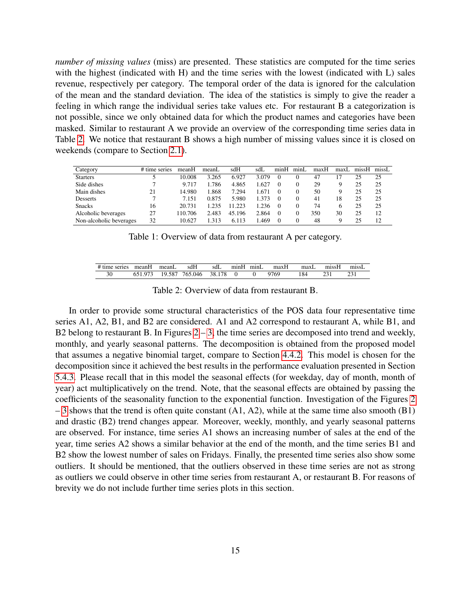*number of missing values* (miss) are presented. These statistics are computed for the time series with the highest (indicated with H) and the time series with the lowest (indicated with L) sales revenue, respectively per category. The temporal order of the data is ignored for the calculation of the mean and the standard deviation. The idea of the statistics is simply to give the reader a feeling in which range the individual series take values etc. For restaurant B a categorization is not possible, since we only obtained data for which the product names and categories have been masked. Similar to restaurant A we provide an overview of the corresponding time series data in Table [2.](#page-14-1) We notice that restaurant B shows a high number of missing values since it is closed on weekends (compare to Section [2.1\)](#page-2-4).

| Category                | # time series | meanH   | meanL | sdH    | sdL   | minH     | minl | maxH | max <sub>L</sub> | missH | missL |
|-------------------------|---------------|---------|-------|--------|-------|----------|------|------|------------------|-------|-------|
| <b>Starters</b>         |               | 10.008  | 3.265 | 6.927  | 3.079 | $\theta$ |      | 47   |                  | 25    | 25    |
| Side dishes             |               | 9.717   | 1.786 | 4.865  | .627  | $\Omega$ |      | 29   |                  | 25    | 25    |
| Main dishes             | 21            | 14.980  | 1.868 | 7.294  | .671  | $\Omega$ |      | 50   |                  | 25    | 25    |
| Desserts                |               | 7.151   | 0.875 | 5.980  | 1.373 | $\Omega$ |      | 41   | 18               | 25    | 25    |
| <b>Snacks</b>           | 16            | 20.731  | 1.235 | 11.223 | 1.236 | $\Omega$ |      | 74   |                  | 25    | 25    |
| Alcoholic beverages     | 27            | 110.706 | 2.483 | 45.196 | 2.864 | $\Omega$ |      | 350  | 30               | 25    | 12    |
| Non-alcoholic beverages | 32            | 10.627  | 313   | 6.113  | .469  | $\Omega$ |      | 48   |                  | 25    | 12    |

Table 1: Overview of data from restaurant A per category.

| # time series | meanH | meanL        | sdH     | sdL         | mnH | minL | maxH | maxl | missH | missL        |
|---------------|-------|--------------|---------|-------------|-----|------|------|------|-------|--------------|
| 30            |       | J.587<br>۱Q. | 765.046 | 178<br>38.1 |     |      | 9769 | 184  |       | $\mathbf{A}$ |

<span id="page-14-1"></span><span id="page-14-0"></span>Table 2: Overview of data from restaurant B.

In order to provide some structural characteristics of the POS data four representative time series A1, A2, B1, and B2 are considered. A1 and A2 correspond to restaurant A, while B1, and B2 belong to restaurant B. In Figures  $2 - 3$ , the time series are decomposed into trend and weekly, monthly, and yearly seasonal patterns. The decomposition is obtained from the proposed model that assumes a negative binomial target, compare to Section [4.4.2.](#page-8-4) This model is chosen for the decomposition since it achieved the best results in the performance evaluation presented in Section [5.4.3.](#page-18-0) Please recall that in this model the seasonal effects (for weekday, day of month, month of year) act multiplicatively on the trend. Note, that the seasonal effects are obtained by passing the coefficients of the seasonality function to the exponential function. Investigation of the Figures [2](#page-22-0)  $-3$  shows that the trend is often quite constant (A1, A2), while at the same time also smooth (B1) and drastic (B2) trend changes appear. Moreover, weekly, monthly, and yearly seasonal patterns are observed. For instance, time series A1 shows an increasing number of sales at the end of the year, time series A2 shows a similar behavior at the end of the month, and the time series B1 and B2 show the lowest number of sales on Fridays. Finally, the presented time series also show some outliers. It should be mentioned, that the outliers observed in these time series are not as strong as outliers we could observe in other time series from restaurant A, or restaurant B. For reasons of brevity we do not include further time series plots in this section.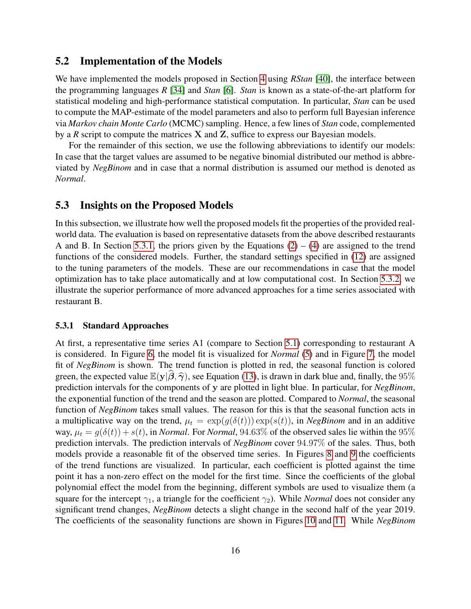### <span id="page-15-0"></span>5.2 Implementation of the Models

We have implemented the models proposed in Section [4](#page-4-0) using *RStan* [\[40\]](#page-35-6), the interface between the programming languages *R* [\[34\]](#page-35-7) and *Stan* [\[6\]](#page-32-6). *Stan* is known as a state-of-the-art platform for statistical modeling and high-performance statistical computation. In particular, *Stan* can be used to compute the MAP-estimate of the model parameters and also to perform full Bayesian inference via *Markov chain Monte Carlo* (MCMC) sampling. Hence, a few lines of *Stan* code, complemented by a *R* script to compute the matrices X and Z, suffice to express our Bayesian models.

For the remainder of this section, we use the following abbreviations to identify our models: In case that the target values are assumed to be negative binomial distributed our method is abbreviated by *NegBinom* and in case that a normal distribution is assumed our method is denoted as *Normal*.

### <span id="page-15-1"></span>5.3 Insights on the Proposed Models

In this subsection, we illustrate how well the proposed models fit the properties of the provided realworld data. The evaluation is based on representative datasets from the above described restaurants A and B. In Section [5.3.1,](#page-15-2) the priors given by the Equations  $(2) - (4)$  $(2) - (4)$  $(2) - (4)$  are assigned to the trend functions of the considered models. Further, the standard settings specified in [\(12\)](#page-10-1) are assigned to the tuning parameters of the models. These are our recommendations in case that the model optimization has to take place automatically and at low computational cost. In Section [5.3.2,](#page-16-0) we illustrate the superior performance of more advanced approaches for a time series associated with restaurant B.

#### <span id="page-15-2"></span>5.3.1 Standard Approaches

At first, a representative time series A1 (compare to Section [5.1\)](#page-13-1) corresponding to restaurant A is considered. In Figure [6,](#page-23-0) the model fit is visualized for *Normal* [\(5\)](#page-8-0) and in Figure [7,](#page-23-1) the model fit of *NegBinom* is shown. The trend function is plotted in red, the seasonal function is colored green, the expected value  $\mathbb{E}(\mathbf{y}|\boldsymbol{\beta}, \boldsymbol{\hat{\gamma}})$ , see Equation [\(13\)](#page-11-1), is drawn in dark blue and, finally, the 95% prediction intervals for the components of y are plotted in light blue. In particular, for *NegBinom*, the exponential function of the trend and the season are plotted. Compared to *Normal*, the seasonal function of *NegBinom* takes small values. The reason for this is that the seasonal function acts in a multiplicative way on the trend,  $\mu_t = \exp(g(\delta(t))) \exp(s(t))$ , in *NegBinom* and in an additive way,  $\mu_t = g(\delta(t)) + s(t)$ , in *Normal*. For *Normal*, 94.63% of the observed sales lie within the 95% prediction intervals. The prediction intervals of *NegBinom* cover 94.97% of the sales. Thus, both models provide a reasonable fit of the observed time series. In Figures [8](#page-24-0) and [9](#page-24-1) the coefficients of the trend functions are visualized. In particular, each coefficient is plotted against the time point it has a non-zero effect on the model for the first time. Since the coefficients of the global polynomial effect the model from the beginning, different symbols are used to visualize them (a square for the intercept  $\gamma_1$ , a triangle for the coefficient  $\gamma_2$ ). While *Normal* does not consider any significant trend changes, *NegBinom* detects a slight change in the second half of the year 2019. The coefficients of the seasonality functions are shown in Figures [10](#page-25-0) and [11.](#page-25-1) While *NegBinom*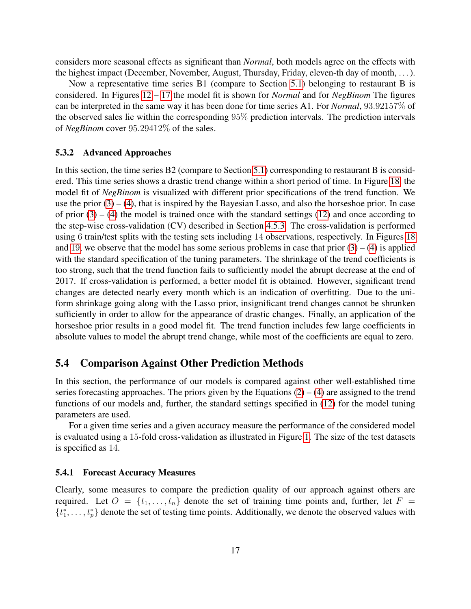considers more seasonal effects as significant than *Normal*, both models agree on the effects with the highest impact (December, November, August, Thursday, Friday, eleven-th day of month, . . . ).

Now a representative time series B1 (compare to Section [5.1\)](#page-13-1) belonging to restaurant B is considered. In Figures [12](#page-26-0) – [17](#page-28-0) the model fit is shown for *Normal* and for *NegBinom* The figures can be interpreted in the same way it has been done for time series A1. For *Normal*, 93.92157% of the observed sales lie within the corresponding 95% prediction intervals. The prediction intervals of *NegBinom* cover 95.29412% of the sales.

#### <span id="page-16-0"></span>5.3.2 Advanced Approaches

In this section, the time series B2 (compare to Section [5.1\)](#page-13-1) corresponding to restaurant B is considered. This time series shows a drastic trend change within a short period of time. In Figure [18,](#page-29-0) the model fit of *NegBinom* is visualized with different prior specifications of the trend function. We use the prior  $(3) - (4)$  $(3) - (4)$  $(3) - (4)$ , that is inspired by the Bayesian Lasso, and also the horseshoe prior. In case of prior  $(3) - (4)$  $(3) - (4)$  $(3) - (4)$  the model is trained once with the standard settings  $(12)$  and once according to the step-wise cross-validation (CV) described in Section [4.5.3.](#page-10-2) The cross-validation is performed using 6 train/test splits with the testing sets including 14 observations, respectively. In Figures [18](#page-29-0) and [19](#page-30-0), we observe that the model has some serious problems in case that prior  $(3) - (4)$  $(3) - (4)$  $(3) - (4)$  is applied with the standard specification of the tuning parameters. The shrinkage of the trend coefficients is too strong, such that the trend function fails to sufficiently model the abrupt decrease at the end of 2017. If cross-validation is performed, a better model fit is obtained. However, significant trend changes are detected nearly every month which is an indication of overfitting. Due to the uniform shrinkage going along with the Lasso prior, insignificant trend changes cannot be shrunken sufficiently in order to allow for the appearance of drastic changes. Finally, an application of the horseshoe prior results in a good model fit. The trend function includes few large coefficients in absolute values to model the abrupt trend change, while most of the coefficients are equal to zero.

# 5.4 Comparison Against Other Prediction Methods

In this section, the performance of our models is compared against other well-established time series forecasting approaches. The priors given by the Equations  $(2) - (4)$  $(2) - (4)$  $(2) - (4)$  are assigned to the trend functions of our models and, further, the standard settings specified in [\(12\)](#page-10-1) for the model tuning parameters are used.

For a given time series and a given accuracy measure the performance of the considered model is evaluated using a 15-fold cross-validation as illustrated in Figure [1.](#page-11-0) The size of the test datasets is specified as 14.

#### <span id="page-16-1"></span>5.4.1 Forecast Accuracy Measures

Clearly, some measures to compare the prediction quality of our approach against others are required. Let  $O = \{t_1, \ldots, t_n\}$  denote the set of training time points and, further, let  $F =$  $\{t_1^*, \ldots, t_p^*\}$  denote the set of testing time points. Additionally, we denote the observed values with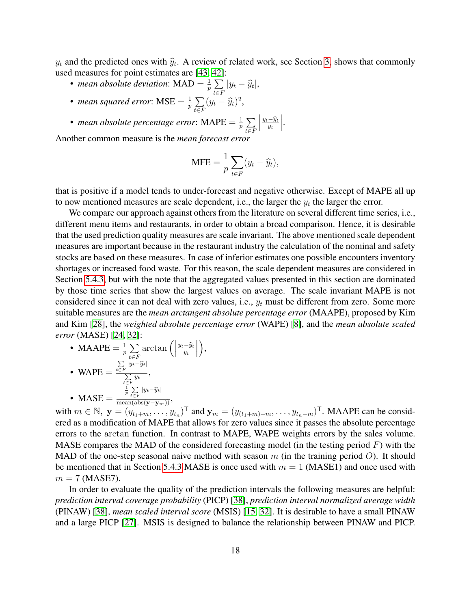$y_t$  and the predicted ones with  $\hat{y}_t$ . A review of related work, see Section [3,](#page-3-0) shows that commonly used measures for point estimates are [\[43,](#page-36-1) [42\]](#page-36-0):

- *mean absolute deviation*:  $MAD = \frac{1}{n}$  $\frac{1}{p}\sum$  $\sum_{t\in F}|y_t-\widehat{y}_t|,$
- *mean squared error*:  $MSE = \frac{1}{n}$  $\frac{1}{p}\sum$  $\sum_{t\in F} (y_t - \widehat{y}_t)^2,$
- *mean absolute percentage error*: MAPE =  $\frac{1}{n}$  $\frac{1}{p}\sum$ t∈F  $\begin{array}{c} \begin{array}{c} \begin{array}{c} \end{array} \\ \begin{array}{c} \end{array} \end{array} \end{array}$  $\frac{y_t-\widehat{y}_t}{y_t}$   .

Another common measure is the *mean forecast error*

$$
MFE = \frac{1}{p} \sum_{t \in F} (y_t - \widehat{y}_t),
$$

that is positive if a model tends to under-forecast and negative otherwise. Except of MAPE all up to now mentioned measures are scale dependent, i.e., the larger the  $y_t$  the larger the error.

We compare our approach against others from the literature on several different time series, i.e., different menu items and restaurants, in order to obtain a broad comparison. Hence, it is desirable that the used prediction quality measures are scale invariant. The above mentioned scale dependent measures are important because in the restaurant industry the calculation of the nominal and safety stocks are based on these measures. In case of inferior estimates one possible encounters inventory shortages or increased food waste. For this reason, the scale dependent measures are considered in Section [5.4.3,](#page-18-0) but with the note that the aggregated values presented in this section are dominated by those time series that show the largest values on average. The scale invariant MAPE is not considered since it can not deal with zero values, i.e.,  $y_t$  must be different from zero. Some more suitable measures are the *mean arctangent absolute percentage error* (MAAPE), proposed by Kim and Kim [\[28\]](#page-34-7), the *weighted absolute percentage error* (WAPE) [\[8\]](#page-33-10), and the *mean absolute scaled error* (MASE) [\[24,](#page-34-8) [32\]](#page-35-8):

• MAAPE  $=\frac{1}{n}$  $\frac{1}{p} \sum_{\tau}$ t∈F  $arctan$   $\left(\right)$  $\frac{y_t-\widehat{y}_t}{y_t}$  ,

• 
$$
\text{WAPE} = \frac{\sum\limits_{t \in F} |y_t - \hat{y}_t|}{\sum\limits_{t \in F} y_t},
$$
  
• 
$$
\text{MASE} = \frac{\frac{1}{p} \sum\limits_{t \in F} |y_t - \hat{y}_t|}{\text{mean}(\text{abs}(\mathbf{y} - \mathbf{y}_m))},
$$

with  $m \in \mathbb{N}$ ,  $\mathbf{y} = (y_{t_1+m}, \dots, y_{t_n})^{\mathsf{T}}$  and  $\mathbf{y}_m = (y_{(t_1+m)-m}, \dots, y_{t_n-m})^{\mathsf{T}}$ . MAAPE can be considered as a modification of MAPE that allows for zero values since it passes the absolute percentage errors to the arctan function. In contrast to MAPE, WAPE weights errors by the sales volume. MASE compares the MAD of the considered forecasting model (in the testing period  $F$ ) with the MAD of the one-step seasonal naive method with season  $m$  (in the training period  $O$ ). It should be mentioned that in Section [5.4.3](#page-18-0) MASE is once used with  $m = 1$  (MASE1) and once used with  $m = 7$  (MASE7).

In order to evaluate the quality of the prediction intervals the following measures are helpful: *prediction interval coverage probability* (PICP) [\[38\]](#page-35-9), *prediction interval normalized average width* (PINAW) [\[38\]](#page-35-9), *mean scaled interval score* (MSIS) [\[15,](#page-33-11) [32\]](#page-35-8). It is desirable to have a small PINAW and a large PICP [\[27\]](#page-34-9). MSIS is designed to balance the relationship between PINAW and PICP.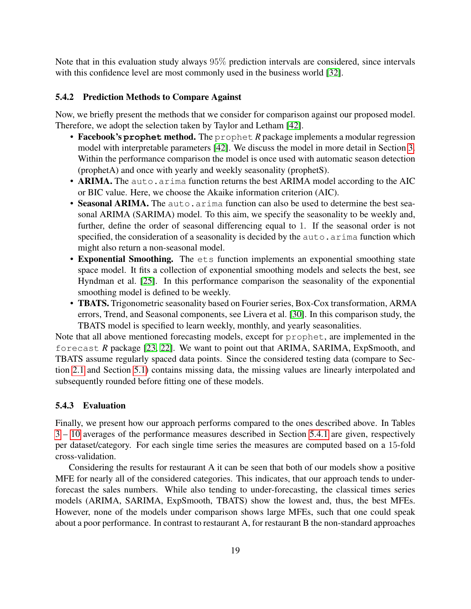Note that in this evaluation study always 95% prediction intervals are considered, since intervals with this confidence level are most commonly used in the business world [\[32\]](#page-35-8).

#### 5.4.2 Prediction Methods to Compare Against

Now, we briefly present the methods that we consider for comparison against our proposed model. Therefore, we adopt the selection taken by Taylor and Letham [\[42\]](#page-36-0).

- Facebook's **prophet** method. The prophet *R* package implements a modular regression model with interpretable parameters [\[42\]](#page-36-0). We discuss the model in more detail in Section [3.](#page-3-0) Within the performance comparison the model is once used with automatic season detection (prophetA) and once with yearly and weekly seasonality (prophetS).
- ARIMA. The auto.arima function returns the best ARIMA model according to the AIC or BIC value. Here, we choose the Akaike information criterion (AIC).
- Seasonal ARIMA. The auto.arima function can also be used to determine the best seasonal ARIMA (SARIMA) model. To this aim, we specify the seasonality to be weekly and, further, define the order of seasonal differencing equal to 1. If the seasonal order is not specified, the consideration of a seasonality is decided by the auto.arima function which might also return a non-seasonal model.
- Exponential Smoothing. The ets function implements an exponential smoothing state space model. It fits a collection of exponential smoothing models and selects the best, see Hyndman et al. [\[25\]](#page-34-10). In this performance comparison the seasonality of the exponential smoothing model is defined to be weekly.
- TBATS. Trigonometric seasonality based on Fourier series, Box-Cox transformation, ARMA errors, Trend, and Seasonal components, see Livera et al. [\[30\]](#page-35-10). In this comparison study, the TBATS model is specified to learn weekly, monthly, and yearly seasonalities.

Note that all above mentioned forecasting models, except for prophet, are implemented in the forecast *R* package [\[23,](#page-34-4) [22\]](#page-34-5). We want to point out that ARIMA, SARIMA, ExpSmooth, and TBATS assume regularly spaced data points. Since the considered testing data (compare to Section [2.1](#page-2-4) and Section [5.1\)](#page-13-1) contains missing data, the missing values are linearly interpolated and subsequently rounded before fitting one of these models.

### <span id="page-18-0"></span>5.4.3 Evaluation

Finally, we present how our approach performs compared to the ones described above. In Tables [3](#page-20-0) – [10](#page-26-1) averages of the performance measures described in Section [5.4.1](#page-16-1) are given, respectively per dataset/category. For each single time series the measures are computed based on a 15-fold cross-validation.

Considering the results for restaurant A it can be seen that both of our models show a positive MFE for nearly all of the considered categories. This indicates, that our approach tends to underforecast the sales numbers. While also tending to under-forecasting, the classical times series models (ARIMA, SARIMA, ExpSmooth, TBATS) show the lowest and, thus, the best MFEs. However, none of the models under comparison shows large MFEs, such that one could speak about a poor performance. In contrast to restaurant A, for restaurant B the non-standard approaches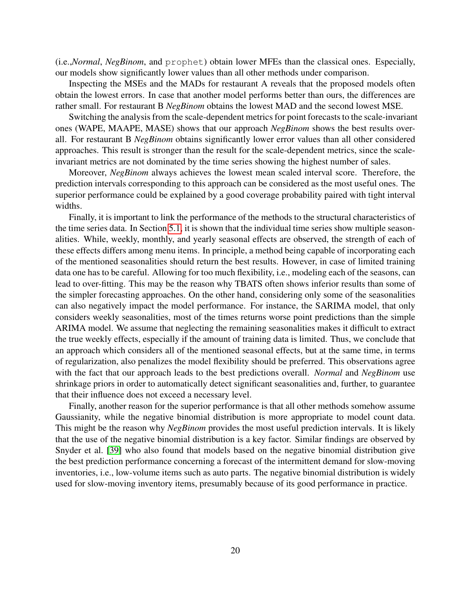(i.e.,*Normal*, *NegBinom*, and prophet) obtain lower MFEs than the classical ones. Especially, our models show significantly lower values than all other methods under comparison.

Inspecting the MSEs and the MADs for restaurant A reveals that the proposed models often obtain the lowest errors. In case that another model performs better than ours, the differences are rather small. For restaurant B *NegBinom* obtains the lowest MAD and the second lowest MSE.

Switching the analysis from the scale-dependent metrics for point forecasts to the scale-invariant ones (WAPE, MAAPE, MASE) shows that our approach *NegBinom* shows the best results overall. For restaurant B *NegBinom* obtains significantly lower error values than all other considered approaches. This result is stronger than the result for the scale-dependent metrics, since the scaleinvariant metrics are not dominated by the time series showing the highest number of sales.

Moreover, *NegBinom* always achieves the lowest mean scaled interval score. Therefore, the prediction intervals corresponding to this approach can be considered as the most useful ones. The superior performance could be explained by a good coverage probability paired with tight interval widths.

Finally, it is important to link the performance of the methods to the structural characteristics of the time series data. In Section [5.1,](#page-13-1) it is shown that the individual time series show multiple seasonalities. While, weekly, monthly, and yearly seasonal effects are observed, the strength of each of these effects differs among menu items. In principle, a method being capable of incorporating each of the mentioned seasonalities should return the best results. However, in case of limited training data one has to be careful. Allowing for too much flexibility, i.e., modeling each of the seasons, can lead to over-fitting. This may be the reason why TBATS often shows inferior results than some of the simpler forecasting approaches. On the other hand, considering only some of the seasonalities can also negatively impact the model performance. For instance, the SARIMA model, that only considers weekly seasonalities, most of the times returns worse point predictions than the simple ARIMA model. We assume that neglecting the remaining seasonalities makes it difficult to extract the true weekly effects, especially if the amount of training data is limited. Thus, we conclude that an approach which considers all of the mentioned seasonal effects, but at the same time, in terms of regularization, also penalizes the model flexibility should be preferred. This observations agree with the fact that our approach leads to the best predictions overall. *Normal* and *NegBinom* use shrinkage priors in order to automatically detect significant seasonalities and, further, to guarantee that their influence does not exceed a necessary level.

Finally, another reason for the superior performance is that all other methods somehow assume Gaussianity, while the negative binomial distribution is more appropriate to model count data. This might be the reason why *NegBinom* provides the most useful prediction intervals. It is likely that the use of the negative binomial distribution is a key factor. Similar findings are observed by Snyder et al. [\[39\]](#page-35-11) who also found that models based on the negative binomial distribution give the best prediction performance concerning a forecast of the intermittent demand for slow-moving inventories, i.e., low-volume items such as auto parts. The negative binomial distribution is widely used for slow-moving inventory items, presumably because of its good performance in practice.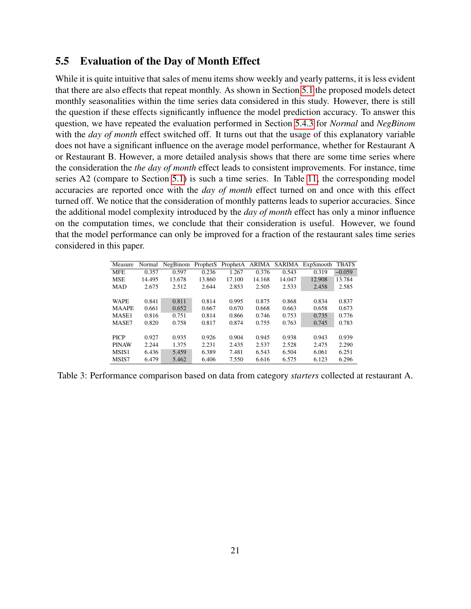# 5.5 Evaluation of the Day of Month Effect

While it is quite intuitive that sales of menu items show weekly and yearly patterns, it is less evident that there are also effects that repeat monthly. As shown in Section [5.1](#page-13-1) the proposed models detect monthly seasonalities within the time series data considered in this study. However, there is still the question if these effects significantly influence the model prediction accuracy. To answer this question, we have repeated the evaluation performed in Section [5.4.3](#page-18-0) for *Normal* and *NegBinom* with the *day of month* effect switched off. It turns out that the usage of this explanatory variable does not have a significant influence on the average model performance, whether for Restaurant A or Restaurant B. However, a more detailed analysis shows that there are some time series where the consideration the *the day of month* effect leads to consistent improvements. For instance, time series A2 (compare to Section [5.1\)](#page-13-1) is such a time series. In Table [11,](#page-31-0) the corresponding model accuracies are reported once with the *day of month* effect turned on and once with this effect turned off. We notice that the consideration of monthly patterns leads to superior accuracies. Since the additional model complexity introduced by the *day of month* effect has only a minor influence on the computation times, we conclude that their consideration is useful. However, we found that the model performance can only be improved for a fraction of the restaurant sales time series considered in this paper.

<span id="page-20-0"></span>

| Measure      | Normal | NegBinom | ProphetS | ProphetA | <b>ARIMA</b> | <b>SARIMA</b> | ExpSmooth | <b>TBATS</b> |
|--------------|--------|----------|----------|----------|--------------|---------------|-----------|--------------|
| <b>MFE</b>   | 0.357  | 0.597    | 0.236    | 1.267    | 0.376        | 0.543         | 0.319     | $-0.059$     |
| <b>MSE</b>   | 14.495 | 13.678   | 13.860   | 17.100   | 14.168       | 14.047        | 12.908    | 13.784       |
| <b>MAD</b>   | 2.675  | 2.512    | 2.644    | 2.853    | 2.505        | 2.533         | 2.458     | 2.585        |
|              |        |          |          |          |              |               |           |              |
| <b>WAPE</b>  | 0.841  | 0.811    | 0.814    | 0.995    | 0.875        | 0.868         | 0.834     | 0.837        |
| <b>MAAPE</b> | 0.661  | 0.652    | 0.667    | 0.670    | 0.668        | 0.663         | 0.658     | 0.673        |
| MASE1        | 0.816  | 0.751    | 0.814    | 0.866    | 0.746        | 0.753         | 0.735     | 0.776        |
| MASE7        | 0.820  | 0.758    | 0.817    | 0.874    | 0.755        | 0.763         | 0.745     | 0.783        |
|              |        |          |          |          |              |               |           |              |
| <b>PICP</b>  | 0.927  | 0.935    | 0.926    | 0.904    | 0.945        | 0.938         | 0.943     | 0.939        |
| <b>PINAW</b> | 2.244  | 1.375    | 2.231    | 2.435    | 2.537        | 2.528         | 2.475     | 2.290        |
| MSIS1        | 6.436  | 5.459    | 6.389    | 7.481    | 6.543        | 6.504         | 6.061     | 6.251        |
| MSIS7        | 6.479  | 5.462    | 6.406    | 7.550    | 6.616        | 6.575         | 6.123     | 6.296        |

Table 3: Performance comparison based on data from category *starters* collected at restaurant A.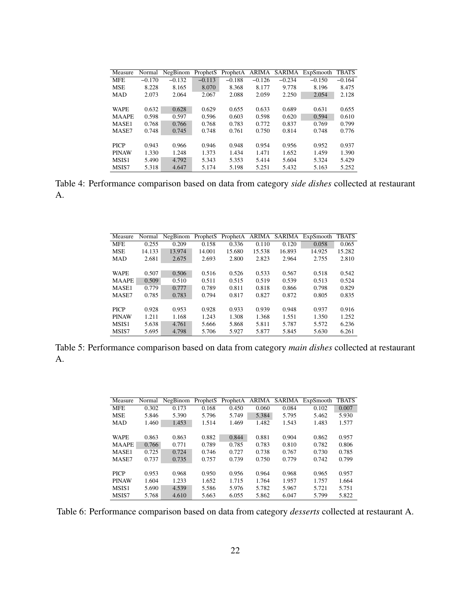| Measure      | Normal   | NegBinom | ProphetS | ProphetA | ARIMA    | SARIMA   | ExpSmooth | <b>TBATS</b> |
|--------------|----------|----------|----------|----------|----------|----------|-----------|--------------|
| <b>MFE</b>   | $-0.170$ | $-0.132$ | $-0.113$ | $-0.188$ | $-0.126$ | $-0.234$ | $-0.150$  | $-0.164$     |
| <b>MSE</b>   | 8.228    | 8.165    | 8.070    | 8.368    | 8.177    | 9.778    | 8.196     | 8.475        |
| <b>MAD</b>   | 2.073    | 2.064    | 2.067    | 2.088    | 2.059    | 2.250    | 2.054     | 2.128        |
|              |          |          |          |          |          |          |           |              |
| <b>WAPE</b>  | 0.632    | 0.628    | 0.629    | 0.655    | 0.633    | 0.689    | 0.631     | 0.655        |
| <b>MAAPE</b> | 0.598    | 0.597    | 0.596    | 0.603    | 0.598    | 0.620    | 0.594     | 0.610        |
| MASE1        | 0.768    | 0.766    | 0.768    | 0.783    | 0.772    | 0.837    | 0.769     | 0.799        |
| MASE7        | 0.748    | 0.745    | 0.748    | 0.761    | 0.750    | 0.814    | 0.748     | 0.776        |
|              |          |          |          |          |          |          |           |              |
| <b>PICP</b>  | 0.943    | 0.966    | 0.946    | 0.948    | 0.954    | 0.956    | 0.952     | 0.937        |
| <b>PINAW</b> | 1.330    | 1.248    | 1.373    | 1.434    | 1.471    | 1.652    | 1.459     | 1.390        |
| MSIS1        | 5.490    | 4.792    | 5.343    | 5.353    | 5.414    | 5.604    | 5.324     | 5.429        |
| MSIS7        | 5.318    | 4.647    | 5.174    | 5.198    | 5.251    | 5.432    | 5.163     | 5.252        |

Table 4: Performance comparison based on data from category *side dishes* collected at restaurant A.

| Measure      | Normal | NegBinom | ProphetS | ProphetA ARIMA |        | SARIMA | ExpSmooth | <b>TBATS</b> |
|--------------|--------|----------|----------|----------------|--------|--------|-----------|--------------|
| <b>MFE</b>   | 0.255  | 0.209    | 0.158    | 0.336          | 0.110  | 0.120  | 0.058     | 0.065        |
| <b>MSE</b>   | 14.133 | 13.974   | 14.001   | 15.680         | 15.538 | 16.893 | 14.925    | 15.282       |
| <b>MAD</b>   | 2.681  | 2.675    | 2.693    | 2.800          | 2.823  | 2.964  | 2.755     | 2.810        |
|              |        |          |          |                |        |        |           |              |
| <b>WAPE</b>  | 0.507  | 0.506    | 0.516    | 0.526          | 0.533  | 0.567  | 0.518     | 0.542        |
| <b>MAAPE</b> | 0.509  | 0.510    | 0.511    | 0.515          | 0.519  | 0.539  | 0.513     | 0.524        |
| MASE1        | 0.779  | 0.777    | 0.789    | 0.811          | 0.818  | 0.866  | 0.798     | 0.829        |
| MASE7        | 0.785  | 0.783    | 0.794    | 0.817          | 0.827  | 0.872  | 0.805     | 0.835        |
|              |        |          |          |                |        |        |           |              |
| <b>PICP</b>  | 0.928  | 0.953    | 0.928    | 0.933          | 0.939  | 0.948  | 0.937     | 0.916        |
| <b>PINAW</b> | 1.211  | 1.168    | 1.243    | 1.308          | 1.368  | 1.551  | 1.350     | 1.252        |
| MSIS1        | 5.638  | 4.761    | 5.666    | 5.868          | 5.811  | 5.787  | 5.572     | 6.236        |
| MSIS7        | 5.695  | 4.798    | 5.706    | 5.927          | 5.877  | 5.845  | 5.630     | 6.261        |

Table 5: Performance comparison based on data from category *main dishes* collected at restaurant A.

| Measure      | Normal | NegBinom | ProphetS | ProphetA | ARIMA | SARIMA | ExpSmooth | <b>TBATS</b> |
|--------------|--------|----------|----------|----------|-------|--------|-----------|--------------|
| <b>MFE</b>   | 0.302  | 0.173    | 0.168    | 0.450    | 0.060 | 0.084  | 0.102     | 0.007        |
| <b>MSE</b>   | 5.846  | 5.390    | 5.796    | 5.749    | 5.384 | 5.795  | 5.462     | 5.930        |
| <b>MAD</b>   | 1.460  | 1.453    | 1.514    | 1.469    | 1.482 | 1.543  | 1.483     | 1.577        |
|              |        |          |          |          |       |        |           |              |
| <b>WAPE</b>  | 0.863  | 0.863    | 0.882    | 0.844    | 0.881 | 0.904  | 0.862     | 0.957        |
| <b>MAAPE</b> | 0.766  | 0.771    | 0.789    | 0.785    | 0.783 | 0.810  | 0.782     | 0.806        |
| MASE1        | 0.725  | 0.724    | 0.746    | 0.727    | 0.738 | 0.767  | 0.730     | 0.785        |
| MASE7        | 0.737  | 0.735    | 0.757    | 0.739    | 0.750 | 0.779  | 0.742     | 0.799        |
|              |        |          |          |          |       |        |           |              |
| <b>PICP</b>  | 0.953  | 0.968    | 0.950    | 0.956    | 0.964 | 0.968  | 0.965     | 0.957        |
| <b>PINAW</b> | 1.604  | 1.233    | 1.652    | 1.715    | 1.764 | 1.957  | 1.757     | 1.664        |
| MSIS1        | 5.690  | 4.539    | 5.586    | 5.976    | 5.782 | 5.967  | 5.721     | 5.751        |
| MSIS7        | 5.768  | 4.610    | 5.663    | 6.055    | 5.862 | 6.047  | 5.799     | 5.822        |
|              |        |          |          |          |       |        |           |              |

Table 6: Performance comparison based on data from category *desserts* collected at restaurant A.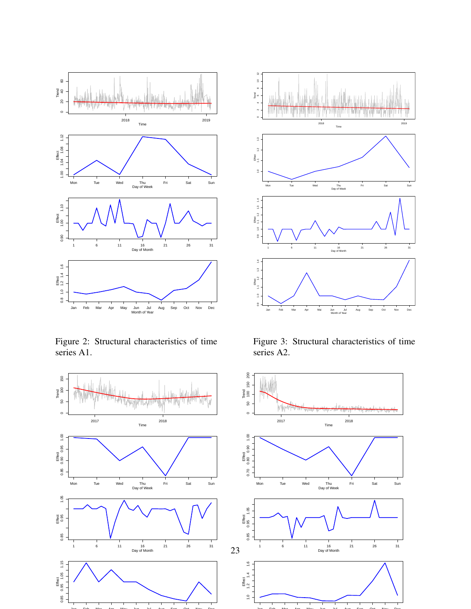

<span id="page-22-0"></span>Figure 2: Structural characteristics of time series A1.





<span id="page-22-1"></span>Figure 3: Structural characteristics of time series A2.

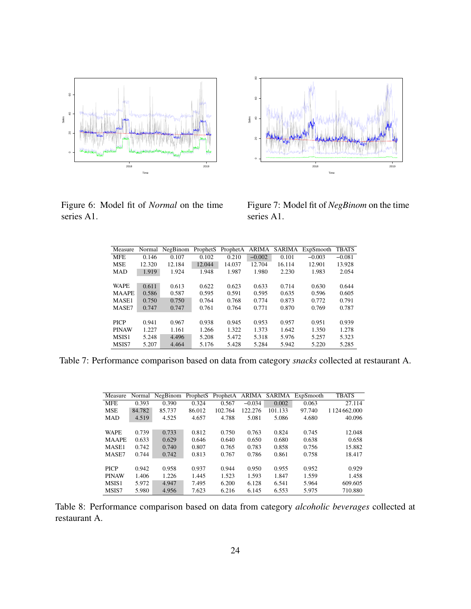

 20 40 60 80 Sales  $\approx$ 2018 2019 Time

Figure 6: Model fit of *Normal* on the time series A1.

<span id="page-23-1"></span>Figure 7: Model fit of *NegBinom* on the time series A1.

<span id="page-23-0"></span>

| Measure      |        | Normal NegBinom | ProphetS | ProphetA | ARIMA    | SARIMA | ExpSmooth | <b>TBATS</b> |
|--------------|--------|-----------------|----------|----------|----------|--------|-----------|--------------|
| <b>MFE</b>   | 0.146  | 0.107           | 0.102    | 0.210    | $-0.002$ | 0.101  | $-0.003$  | $-0.081$     |
| <b>MSE</b>   | 12.320 | 12.184          | 12.044   | 14.037   | 12.704   | 16.114 | 12.901    | 13.928       |
| <b>MAD</b>   | 1.919  | 1.924           | 1.948    | 1.987    | 1.980    | 2.230  | 1.983     | 2.054        |
|              |        |                 |          |          |          |        |           |              |
| <b>WAPE</b>  | 0.611  | 0.613           | 0.622    | 0.623    | 0.633    | 0.714  | 0.630     | 0.644        |
| <b>MAAPE</b> | 0.586  | 0.587           | 0.595    | 0.591    | 0.595    | 0.635  | 0.596     | 0.605        |
| MASE1        | 0.750  | 0.750           | 0.764    | 0.768    | 0.774    | 0.873  | 0.772     | 0.791        |
| MASE7        | 0.747  | 0.747           | 0.761    | 0.764    | 0.771    | 0.870  | 0.769     | 0.787        |
|              |        |                 |          |          |          |        |           |              |
| <b>PICP</b>  | 0.941  | 0.967           | 0.938    | 0.945    | 0.953    | 0.957  | 0.951     | 0.939        |
| <b>PINAW</b> | 1.227  | 1.161           | 1.266    | 1.322    | 1.373    | 1.642  | 1.350     | 1.278        |
| MSIS1        | 5.248  | 4.496           | 5.208    | 5.472    | 5.318    | 5.976  | 5.257     | 5.323        |
| MSIS7        | 5.207  | 4.464           | 5.176    | 5.428    | 5.284    | 5.942  | 5.220     | 5.285        |

Table 7: Performance comparison based on data from category *snacks* collected at restaurant A.

| Measure      | Normal | NegBinom | ProphetS | ProphetA | ARIMA    | SARIMA  | ExpSmooth | <b>TBATS</b>       |
|--------------|--------|----------|----------|----------|----------|---------|-----------|--------------------|
| <b>MFE</b>   | 0.393  | 0.390    | 0.324    | 0.567    | $-0.034$ | 0.002   | 0.063     | 27.114             |
| <b>MSE</b>   | 84.782 | 85.737   | 86.012   | 102.764  | 122.276  | 101.133 | 97.740    | 1 1 24 6 6 2 0 0 0 |
| <b>MAD</b>   | 4.519  | 4.525    | 4.657    | 4.788    | 5.081    | 5.086   | 4.680     | 40.096             |
|              |        |          |          |          |          |         |           |                    |
| <b>WAPE</b>  | 0.739  | 0.733    | 0.812    | 0.750    | 0.763    | 0.824   | 0.745     | 12.048             |
| <b>MAAPE</b> | 0.633  | 0.629    | 0.646    | 0.640    | 0.650    | 0.680   | 0.638     | 0.658              |
| MASE1        | 0.742  | 0.740    | 0.807    | 0.765    | 0.783    | 0.858   | 0.756     | 15.882             |
| MASE7        | 0.744  | 0.742    | 0.813    | 0.767    | 0.786    | 0.861   | 0.758     | 18.417             |
|              |        |          |          |          |          |         |           |                    |
| <b>PICP</b>  | 0.942  | 0.958    | 0.937    | 0.944    | 0.950    | 0.955   | 0.952     | 0.929              |
| <b>PINAW</b> | 1.406  | 1.226    | 1.445    | 1.523    | 1.593    | 1.847   | 1.559     | 1.458              |
| MSIS1        | 5.972  | 4.947    | 7.495    | 6.200    | 6.128    | 6.541   | 5.964     | 609.605            |
| MSIS7        | 5.980  | 4.956    | 7.623    | 6.216    | 6.145    | 6.553   | 5.975     | 710.880            |

Table 8: Performance comparison based on data from category *alcoholic beverages* collected at restaurant A.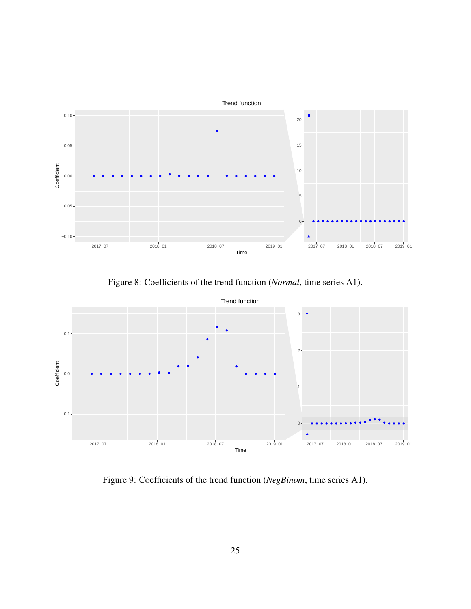

<span id="page-24-0"></span>Figure 8: Coefficients of the trend function (*Normal*, time series A1).



<span id="page-24-1"></span>Figure 9: Coefficients of the trend function (*NegBinom*, time series A1).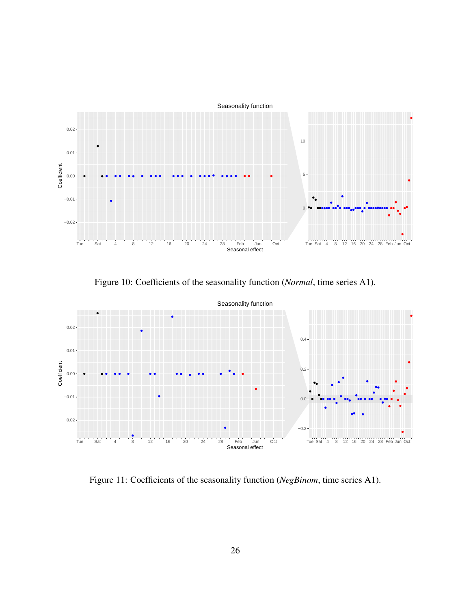Seasonality function



Figure 10: Coefficients of the seasonality function (*Normal*, time series A1).

<span id="page-25-0"></span>

<span id="page-25-1"></span>Figure 11: Coefficients of the seasonality function (*NegBinom*, time series A1).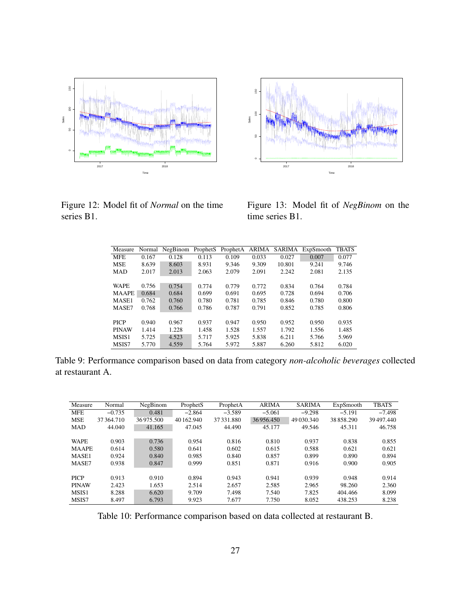

 50 100 150 Sales s. 2017 2018 Time

Figure 12: Model fit of *Normal* on the time series B1.

<span id="page-26-1"></span>Figure 13: Model fit of *NegBinom* on the time series B1.

<span id="page-26-0"></span>

| Measure      |       | Normal NegBinom | ProphetS | ProphetA | ARIMA | SARIMA | ExpSmooth | <b>TBATS</b> |
|--------------|-------|-----------------|----------|----------|-------|--------|-----------|--------------|
| <b>MFE</b>   | 0.167 | 0.128           | 0.113    | 0.109    | 0.033 | 0.027  | 0.007     | 0.077        |
| <b>MSE</b>   | 8.639 | 8.603           | 8.931    | 9.346    | 9.309 | 10.801 | 9.241     | 9.746        |
| <b>MAD</b>   | 2.017 | 2.013           | 2.063    | 2.079    | 2.091 | 2.242  | 2.081     | 2.135        |
|              |       |                 |          |          |       |        |           |              |
| <b>WAPE</b>  | 0.756 | 0.754           | 0.774    | 0.779    | 0.772 | 0.834  | 0.764     | 0.784        |
| <b>MAAPE</b> | 0.684 | 0.684           | 0.699    | 0.691    | 0.695 | 0.728  | 0.694     | 0.706        |
| MASE1        | 0.762 | 0.760           | 0.780    | 0.781    | 0.785 | 0.846  | 0.780     | 0.800        |
| MASE7        | 0.768 | 0.766           | 0.786    | 0.787    | 0.791 | 0.852  | 0.785     | 0.806        |
|              |       |                 |          |          |       |        |           |              |
| <b>PICP</b>  | 0.940 | 0.967           | 0.937    | 0.947    | 0.950 | 0.952  | 0.950     | 0.935        |
| <b>PINAW</b> | 1.414 | 1.228           | 1.458    | 1.528    | 1.557 | 1.792  | 1.556     | 1.485        |
| MSIS1        | 5.725 | 4.523           | 5.717    | 5.925    | 5.838 | 6.211  | 5.766     | 5.969        |
| MSIS7        | 5.770 | 4.559           | 5.764    | 5.972    | 5.887 | 6.260  | 5.812     | 6.020        |

Table 9: Performance comparison based on data from category *non-alcoholic beverages* collected at restaurant A.

| Measure           | Normal    | NegBinom  | ProphetS   | ProphetA   | <b>ARIMA</b> | <b>SARIMA</b> | ExpSmooth | <b>TBATS</b> |
|-------------------|-----------|-----------|------------|------------|--------------|---------------|-----------|--------------|
| <b>MFE</b>        | $-0.735$  | 0.481     | $-2.864$   | $-3.589$   | $-5.061$     | $-9.298$      | $-5.191$  | $-7.498$     |
| <b>MSE</b>        | 37364.710 | 36975.500 | 40 162,940 | 37 331.880 | 36956.450    | 49 030.340    | 38858.290 | 39497.440    |
| <b>MAD</b>        | 44.040    | 41.165    | 47.045     | 44.490     | 45.177       | 49.546        | 45.311    | 46.758       |
|                   |           |           |            |            |              |               |           |              |
| <b>WAPE</b>       | 0.903     | 0.736     | 0.954      | 0.816      | 0.810        | 0.937         | 0.838     | 0.855        |
| <b>MAAPE</b>      | 0.614     | 0.580     | 0.641      | 0.602      | 0.615        | 0.588         | 0.621     | 0.621        |
| MASE1             | 0.924     | 0.840     | 0.985      | 0.840      | 0.857        | 0.899         | 0.890     | 0.894        |
| MASE7             | 0.938     | 0.847     | 0.999      | 0.851      | 0.871        | 0.916         | 0.900     | 0.905        |
|                   |           |           |            |            |              |               |           |              |
| <b>PICP</b>       | 0.913     | 0.910     | 0.894      | 0.943      | 0.941        | 0.939         | 0.948     | 0.914        |
| <b>PINAW</b>      | 2.423     | 1.653     | 2.514      | 2.657      | 2.585        | 2.965         | 98.260    | 2.360        |
| MSIS <sub>1</sub> | 8.288     | 6.620     | 9.709      | 7.498      | 7.540        | 7.825         | 404.466   | 8.099        |
| MSIS7             | 8.497     | 6.793     | 9.923      | 7.677      | 7.750        | 8.052         | 438.253   | 8.238        |
|                   |           |           |            |            |              |               |           |              |

Table 10: Performance comparison based on data collected at restaurant B.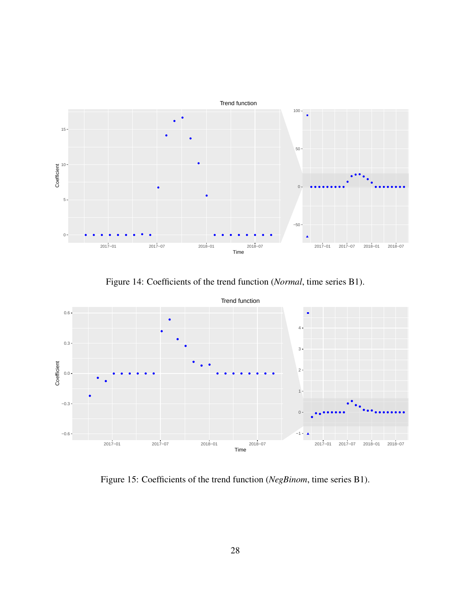

Figure 14: Coefficients of the trend function (*Normal*, time series B1).



Figure 15: Coefficients of the trend function (*NegBinom*, time series B1).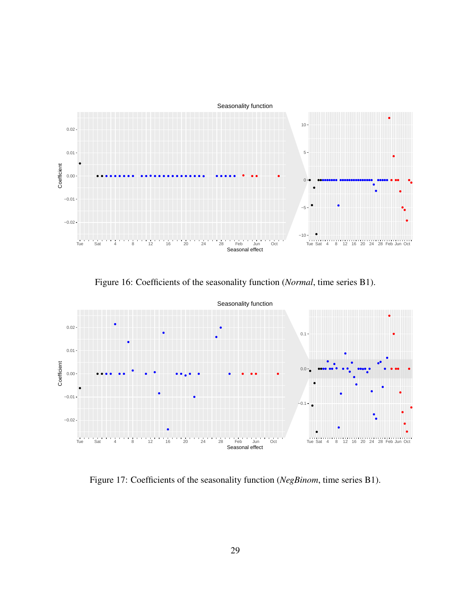Seasonality function



Figure 16: Coefficients of the seasonality function (*Normal*, time series B1).



<span id="page-28-0"></span>Figure 17: Coefficients of the seasonality function (*NegBinom*, time series B1).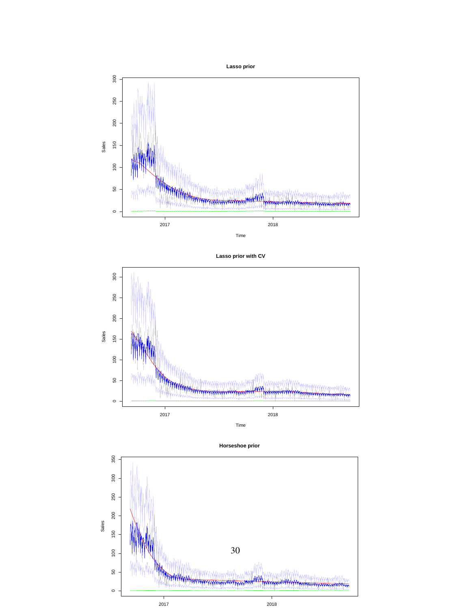







<span id="page-29-0"></span>**Horseshoe prior**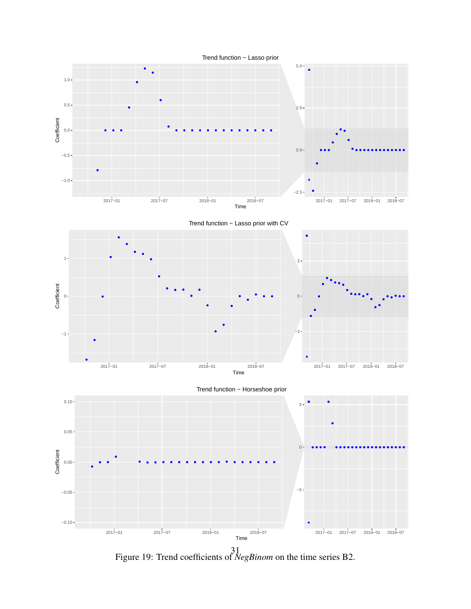

<span id="page-30-0"></span>Figure 19: Trend coefficients of *NegBinom* on the time series B2.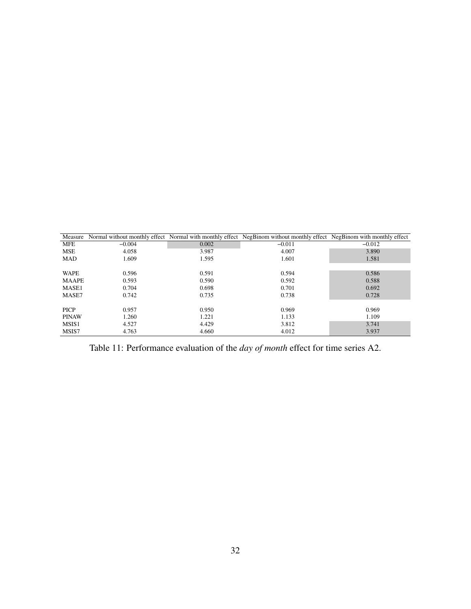|              | Measure Normal without monthly effect Normal with monthly effect NegBinom without monthly effect NegBinom with monthly effect |       |          |          |
|--------------|-------------------------------------------------------------------------------------------------------------------------------|-------|----------|----------|
| <b>MFE</b>   | $-0.004$                                                                                                                      | 0.002 | $-0.011$ | $-0.012$ |
| <b>MSE</b>   | 4.058                                                                                                                         | 3.987 | 4.007    | 3.890    |
| <b>MAD</b>   | 1.609                                                                                                                         | 1.595 | 1.601    | 1.581    |
|              |                                                                                                                               |       |          |          |
| <b>WAPE</b>  | 0.596                                                                                                                         | 0.591 | 0.594    | 0.586    |
| <b>MAAPE</b> | 0.593                                                                                                                         | 0.590 | 0.592    | 0.588    |
| MASE1        | 0.704                                                                                                                         | 0.698 | 0.701    | 0.692    |
| MASE7        | 0.742                                                                                                                         | 0.735 | 0.738    | 0.728    |
|              |                                                                                                                               |       |          |          |
| <b>PICP</b>  | 0.957                                                                                                                         | 0.950 | 0.969    | 0.969    |
| <b>PINAW</b> | 1.260                                                                                                                         | 1.221 | 1.133    | 1.109    |
| MSIS1        | 4.527                                                                                                                         | 4.429 | 3.812    | 3.741    |
| MSIS7        | 4.763                                                                                                                         | 4.660 | 4.012    | 3.937    |

<span id="page-31-0"></span>Table 11: Performance evaluation of the *day of month* effect for time series A2.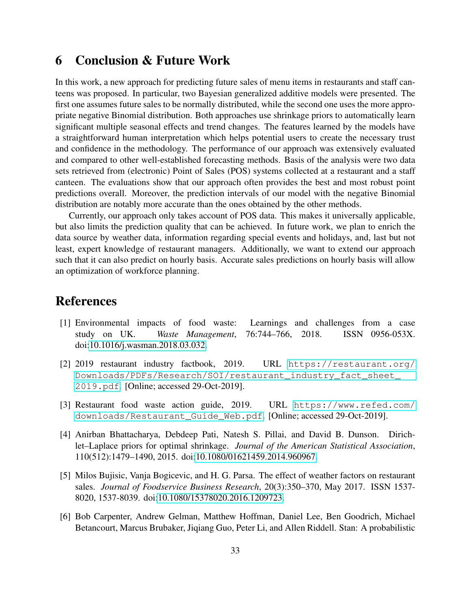# <span id="page-32-3"></span>6 Conclusion & Future Work

In this work, a new approach for predicting future sales of menu items in restaurants and staff canteens was proposed. In particular, two Bayesian generalized additive models were presented. The first one assumes future sales to be normally distributed, while the second one uses the more appropriate negative Binomial distribution. Both approaches use shrinkage priors to automatically learn significant multiple seasonal effects and trend changes. The features learned by the models have a straightforward human interpretation which helps potential users to create the necessary trust and confidence in the methodology. The performance of our approach was extensively evaluated and compared to other well-established forecasting methods. Basis of the analysis were two data sets retrieved from (electronic) Point of Sales (POS) systems collected at a restaurant and a staff canteen. The evaluations show that our approach often provides the best and most robust point predictions overall. Moreover, the prediction intervals of our model with the negative Binomial distribution are notably more accurate than the ones obtained by the other methods.

Currently, our approach only takes account of POS data. This makes it universally applicable, but also limits the prediction quality that can be achieved. In future work, we plan to enrich the data source by weather data, information regarding special events and holidays, and, last but not least, expert knowledge of restaurant managers. Additionally, we want to extend our approach such that it can also predict on hourly basis. Accurate sales predictions on hourly basis will allow an optimization of workforce planning.

# References

- <span id="page-32-2"></span>[1] Environmental impacts of food waste: Learnings and challenges from a case study on UK. *Waste Management*, 76:744–766, 2018. ISSN 0956-053X. doi[:10.1016/j.wasman.2018.03.032.](https://doi.org/10.1016/j.wasman.2018.03.032)
- <span id="page-32-0"></span>[2] 2019 restaurant industry factbook, 2019. URL [https://restaurant.org/](https://restaurant.org/Downloads/PDFs/Research/SOI/restaurant_industry_fact_sheet_2019.pdf) [Downloads/PDFs/Research/SOI/restaurant\\_industry\\_fact\\_sheet\\_](https://restaurant.org/Downloads/PDFs/Research/SOI/restaurant_industry_fact_sheet_2019.pdf) [2019.pdf](https://restaurant.org/Downloads/PDFs/Research/SOI/restaurant_industry_fact_sheet_2019.pdf). [Online; accessed 29-Oct-2019].
- <span id="page-32-1"></span>[3] Restaurant food waste action guide, 2019. URL [https://www.refed.com/](https://www.refed.com/downloads/Restaurant_Guide_Web.pdf) [downloads/Restaurant\\_Guide\\_Web.pdf](https://www.refed.com/downloads/Restaurant_Guide_Web.pdf). [Online; accessed 29-Oct-2019].
- <span id="page-32-5"></span>[4] Anirban Bhattacharya, Debdeep Pati, Natesh S. Pillai, and David B. Dunson. Dirichlet–Laplace priors for optimal shrinkage. *Journal of the American Statistical Association*, 110(512):1479–1490, 2015. doi[:10.1080/01621459.2014.960967.](https://doi.org/10.1080/01621459.2014.960967)
- <span id="page-32-4"></span>[5] Milos Bujisic, Vanja Bogicevic, and H. G. Parsa. The effect of weather factors on restaurant sales. *Journal of Foodservice Business Research*, 20(3):350–370, May 2017. ISSN 1537- 8020, 1537-8039. doi[:10.1080/15378020.2016.1209723.](https://doi.org/10.1080/15378020.2016.1209723)
- <span id="page-32-6"></span>[6] Bob Carpenter, Andrew Gelman, Matthew Hoffman, Daniel Lee, Ben Goodrich, Michael Betancourt, Marcus Brubaker, Jiqiang Guo, Peter Li, and Allen Riddell. Stan: A probabilistic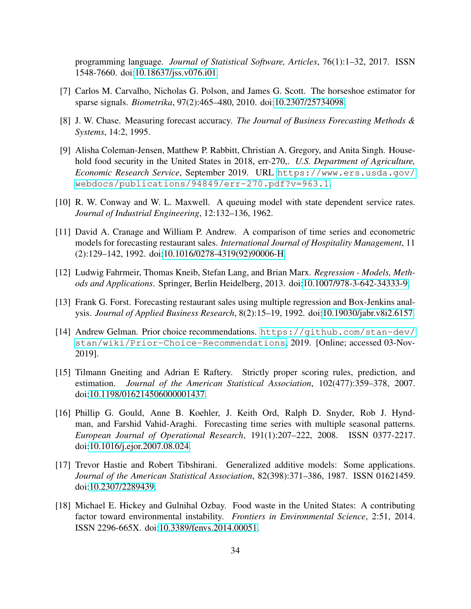programming language. *Journal of Statistical Software, Articles*, 76(1):1–32, 2017. ISSN 1548-7660. doi[:10.18637/jss.v076.i01.](https://doi.org/10.18637/jss.v076.i01)

- <span id="page-33-6"></span>[7] Carlos M. Carvalho, Nicholas G. Polson, and James G. Scott. The horseshoe estimator for sparse signals. *Biometrika*, 97(2):465–480, 2010. doi[:10.2307/25734098.](https://doi.org/10.2307/25734098)
- <span id="page-33-10"></span>[8] J. W. Chase. Measuring forecast accuracy. *The Journal of Business Forecasting Methods & Systems*, 14:2, 1995.
- <span id="page-33-0"></span>[9] Alisha Coleman-Jensen, Matthew P. Rabbitt, Christian A. Gregory, and Anita Singh. Household food security in the United States in 2018, err-270,. *U.S. Department of Agriculture, Economic Research Service*, September 2019. URL [https://www.ers.usda.gov/](https://www.ers.usda.gov/webdocs/publications/94849/err-270.pdf?v=963.1) [webdocs/publications/94849/err-270.pdf?v=963.1](https://www.ers.usda.gov/webdocs/publications/94849/err-270.pdf?v=963.1).
- <span id="page-33-8"></span>[10] R. W. Conway and W. L. Maxwell. A queuing model with state dependent service rates. *Journal of Industrial Engineering*, 12:132–136, 1962.
- <span id="page-33-3"></span>[11] David A. Cranage and William P. Andrew. A comparison of time series and econometric models for forecasting restaurant sales. *International Journal of Hospitality Management*, 11 (2):129–142, 1992. doi[:10.1016/0278-4319\(92\)90006-H.](https://doi.org/10.1016/0278-4319(92)90006-H)
- <span id="page-33-7"></span>[12] Ludwig Fahrmeir, Thomas Kneib, Stefan Lang, and Brian Marx. *Regression - Models, Methods and Applications*. Springer, Berlin Heidelberg, 2013. doi[:10.1007/978-3-642-34333-9.](https://doi.org/10.1007/978-3-642-34333-9)
- <span id="page-33-2"></span>[13] Frank G. Forst. Forecasting restaurant sales using multiple regression and Box-Jenkins analysis. *Journal of Applied Business Research*, 8(2):15–19, 1992. doi[:10.19030/jabr.v8i2.6157.](https://doi.org/10.19030/jabr.v8i2.6157)
- <span id="page-33-9"></span>[14] Andrew Gelman. Prior choice recommendations. [https://github.com/stan-dev/](https://github.com/stan-dev/stan/wiki/Prior-Choice-Recommendations) [stan/wiki/Prior-Choice-Recommendations](https://github.com/stan-dev/stan/wiki/Prior-Choice-Recommendations), 2019. [Online; accessed 03-Nov-2019].
- <span id="page-33-11"></span>[15] Tilmann Gneiting and Adrian E Raftery. Strictly proper scoring rules, prediction, and estimation. *Journal of the American Statistical Association*, 102(477):359–378, 2007. doi[:10.1198/016214506000001437.](https://doi.org/10.1198/016214506000001437)
- <span id="page-33-4"></span>[16] Phillip G. Gould, Anne B. Koehler, J. Keith Ord, Ralph D. Snyder, Rob J. Hyndman, and Farshid Vahid-Araghi. Forecasting time series with multiple seasonal patterns. *European Journal of Operational Research*, 191(1):207–222, 2008. ISSN 0377-2217. doi[:10.1016/j.ejor.2007.08.024.](https://doi.org/10.1016/j.ejor.2007.08.024)
- <span id="page-33-5"></span>[17] Trevor Hastie and Robert Tibshirani. Generalized additive models: Some applications. *Journal of the American Statistical Association*, 82(398):371–386, 1987. ISSN 01621459. doi[:10.2307/2289439.](https://doi.org/10.2307/2289439)
- <span id="page-33-1"></span>[18] Michael E. Hickey and Gulnihal Ozbay. Food waste in the United States: A contributing factor toward environmental instability. *Frontiers in Environmental Science*, 2:51, 2014. ISSN 2296-665X. doi[:10.3389/fenvs.2014.00051.](https://doi.org/10.3389/fenvs.2014.00051)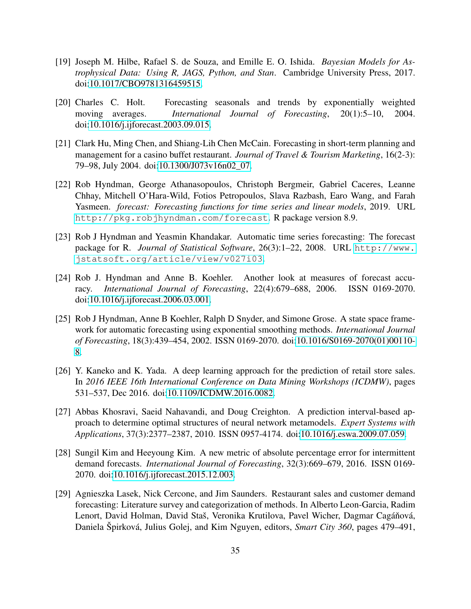- <span id="page-34-6"></span>[19] Joseph M. Hilbe, Rafael S. de Souza, and Emille E. O. Ishida. *Bayesian Models for Astrophysical Data: Using R, JAGS, Python, and Stan*. Cambridge University Press, 2017. doi[:10.1017/CBO9781316459515.](https://doi.org/10.1017/CBO9781316459515)
- <span id="page-34-3"></span>[20] Charles C. Holt. Forecasting seasonals and trends by exponentially weighted moving averages. *International Journal of Forecasting*, 20(1):5–10, 2004. doi[:10.1016/j.ijforecast.2003.09.015.](https://doi.org/10.1016/j.ijforecast.2003.09.015)
- <span id="page-34-1"></span>[21] Clark Hu, Ming Chen, and Shiang-Lih Chen McCain. Forecasting in short-term planning and management for a casino buffet restaurant. *Journal of Travel & Tourism Marketing*, 16(2-3): 79–98, July 2004. doi[:10.1300/J073v16n02\\_07.](https://doi.org/10.1300/J073v16n02_07)
- <span id="page-34-5"></span>[22] Rob Hyndman, George Athanasopoulos, Christoph Bergmeir, Gabriel Caceres, Leanne Chhay, Mitchell O'Hara-Wild, Fotios Petropoulos, Slava Razbash, Earo Wang, and Farah Yasmeen. *forecast: Forecasting functions for time series and linear models*, 2019. URL <http://pkg.robjhyndman.com/forecast>. R package version 8.9.
- <span id="page-34-4"></span>[23] Rob J Hyndman and Yeasmin Khandakar. Automatic time series forecasting: The forecast package for R. *Journal of Statistical Software*, 26(3):1-22, 2008. URL [http://www.](http://www.jstatsoft.org/article/view/v027i03) [jstatsoft.org/article/view/v027i03](http://www.jstatsoft.org/article/view/v027i03).
- <span id="page-34-8"></span>[24] Rob J. Hyndman and Anne B. Koehler. Another look at measures of forecast accuracy. *International Journal of Forecasting*, 22(4):679–688, 2006. ISSN 0169-2070. doi[:10.1016/j.ijforecast.2006.03.001.](https://doi.org/10.1016/j.ijforecast.2006.03.001)
- <span id="page-34-10"></span>[25] Rob J Hyndman, Anne B Koehler, Ralph D Snyder, and Simone Grose. A state space framework for automatic forecasting using exponential smoothing methods. *International Journal of Forecasting*, 18(3):439–454, 2002. ISSN 0169-2070. doi[:10.1016/S0169-2070\(01\)00110-](https://doi.org/10.1016/S0169-2070(01)00110-8) [8.](https://doi.org/10.1016/S0169-2070(01)00110-8)
- <span id="page-34-2"></span>[26] Y. Kaneko and K. Yada. A deep learning approach for the prediction of retail store sales. In *2016 IEEE 16th International Conference on Data Mining Workshops (ICDMW)*, pages 531–537, Dec 2016. doi[:10.1109/ICDMW.2016.0082.](https://doi.org/10.1109/ICDMW.2016.0082)
- <span id="page-34-9"></span>[27] Abbas Khosravi, Saeid Nahavandi, and Doug Creighton. A prediction interval-based approach to determine optimal structures of neural network metamodels. *Expert Systems with Applications*, 37(3):2377–2387, 2010. ISSN 0957-4174. doi[:10.1016/j.eswa.2009.07.059.](https://doi.org/10.1016/j.eswa.2009.07.059)
- <span id="page-34-7"></span>[28] Sungil Kim and Heeyoung Kim. A new metric of absolute percentage error for intermittent demand forecasts. *International Journal of Forecasting*, 32(3):669–679, 2016. ISSN 0169- 2070. doi[:10.1016/j.ijforecast.2015.12.003.](https://doi.org/10.1016/j.ijforecast.2015.12.003)
- <span id="page-34-0"></span>[29] Agnieszka Lasek, Nick Cercone, and Jim Saunders. Restaurant sales and customer demand forecasting: Literature survey and categorization of methods. In Alberto Leon-Garcia, Radim Lenort, David Holman, David Staš, Veronika Krutilova, Pavel Wicher, Dagmar Cagáňová, Daniela Špirková, Julius Golej, and Kim Nguyen, editors, *Smart City 360*, pages 479–491,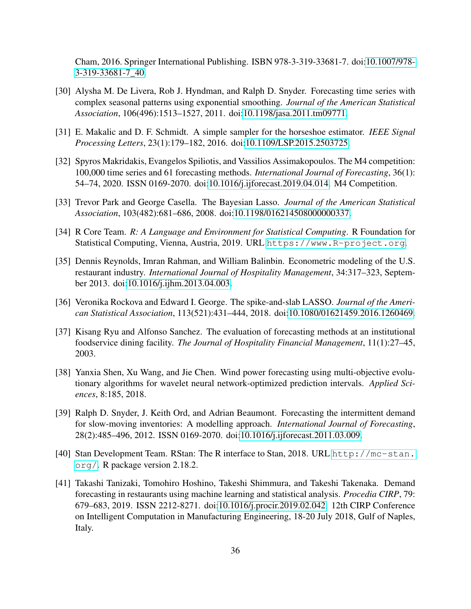Cham, 2016. Springer International Publishing. ISBN 978-3-319-33681-7. doi[:10.1007/978-](https://doi.org/10.1007/978-3-319-33681-7_40) [3-319-33681-7\\_40.](https://doi.org/10.1007/978-3-319-33681-7_40)

- <span id="page-35-10"></span>[30] Alysha M. De Livera, Rob J. Hyndman, and Ralph D. Snyder. Forecasting time series with complex seasonal patterns using exponential smoothing. *Journal of the American Statistical Association*, 106(496):1513–1527, 2011. doi[:10.1198/jasa.2011.tm09771.](https://doi.org/10.1198/jasa.2011.tm09771)
- <span id="page-35-4"></span>[31] E. Makalic and D. F. Schmidt. A simple sampler for the horseshoe estimator. *IEEE Signal Processing Letters*, 23(1):179–182, 2016. doi[:10.1109/LSP.2015.2503725.](https://doi.org/10.1109/LSP.2015.2503725)
- <span id="page-35-8"></span>[32] Spyros Makridakis, Evangelos Spiliotis, and Vassilios Assimakopoulos. The M4 competition: 100,000 time series and 61 forecasting methods. *International Journal of Forecasting*, 36(1): 54–74, 2020. ISSN 0169-2070. doi[:10.1016/j.ijforecast.2019.04.014.](https://doi.org/10.1016/j.ijforecast.2019.04.014) M4 Competition.
- <span id="page-35-3"></span>[33] Trevor Park and George Casella. The Bayesian Lasso. *Journal of the American Statistical Association*, 103(482):681–686, 2008. doi[:10.1198/016214508000000337.](https://doi.org/10.1198/016214508000000337)
- <span id="page-35-7"></span>[34] R Core Team. *R: A Language and Environment for Statistical Computing*. R Foundation for Statistical Computing, Vienna, Austria, 2019. URL <https://www.R-project.org>.
- <span id="page-35-1"></span>[35] Dennis Reynolds, Imran Rahman, and William Balinbin. Econometric modeling of the U.S. restaurant industry. *International Journal of Hospitality Management*, 34:317–323, September 2013. doi[:10.1016/j.ijhm.2013.04.003.](https://doi.org/10.1016/j.ijhm.2013.04.003)
- <span id="page-35-5"></span>[36] Veronika Rockova and Edward I. George. The spike-and-slab LASSO. *Journal of the American Statistical Association*, 113(521):431–444, 2018. doi[:10.1080/01621459.2016.1260469.](https://doi.org/10.1080/01621459.2016.1260469)
- <span id="page-35-0"></span>[37] Kisang Ryu and Alfonso Sanchez. The evaluation of forecasting methods at an institutional foodservice dining facility. *The Journal of Hospitality Financial Management*, 11(1):27–45, 2003.
- <span id="page-35-9"></span>[38] Yanxia Shen, Xu Wang, and Jie Chen. Wind power forecasting using multi-objective evolutionary algorithms for wavelet neural network-optimized prediction intervals. *Applied Sciences*, 8:185, 2018.
- <span id="page-35-11"></span>[39] Ralph D. Snyder, J. Keith Ord, and Adrian Beaumont. Forecasting the intermittent demand for slow-moving inventories: A modelling approach. *International Journal of Forecasting*, 28(2):485–496, 2012. ISSN 0169-2070. doi[:10.1016/j.ijforecast.2011.03.009.](https://doi.org/10.1016/j.ijforecast.2011.03.009)
- <span id="page-35-6"></span>[40] Stan Development Team. RStan: The R interface to Stan, 2018. URL [http://mc-stan.](http://mc-stan.org/) [org/](http://mc-stan.org/). R package version 2.18.2.
- <span id="page-35-2"></span>[41] Takashi Tanizaki, Tomohiro Hoshino, Takeshi Shimmura, and Takeshi Takenaka. Demand forecasting in restaurants using machine learning and statistical analysis. *Procedia CIRP*, 79: 679–683, 2019. ISSN 2212-8271. doi[:10.1016/j.procir.2019.02.042.](https://doi.org/10.1016/j.procir.2019.02.042) 12th CIRP Conference on Intelligent Computation in Manufacturing Engineering, 18-20 July 2018, Gulf of Naples, Italy.